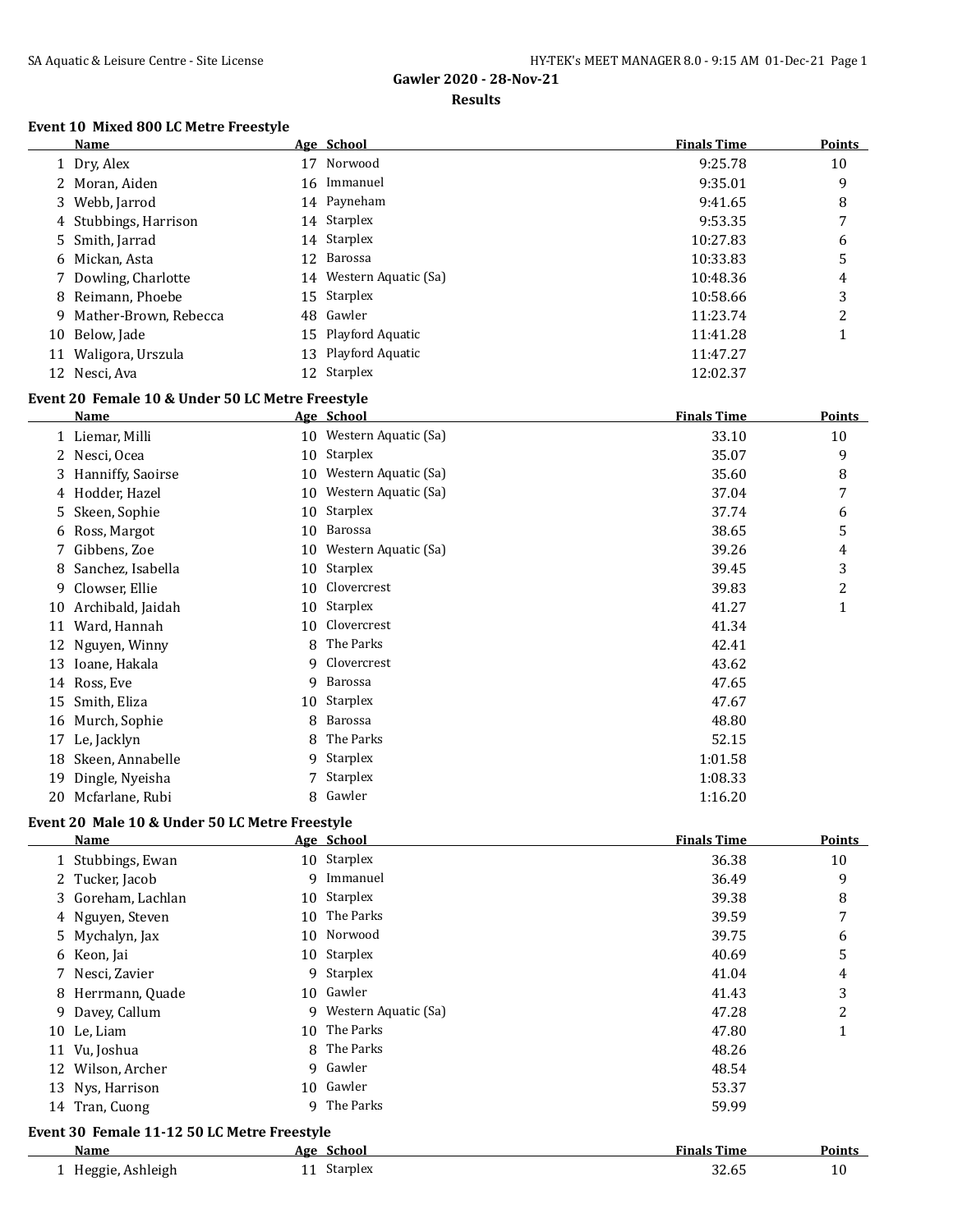#### **Results**

## **Event 10 Mixed 800 LC Metre Freestyle**

|    | <b>Name</b>             | Age School              | <b>Finals Time</b> | <b>Points</b> |
|----|-------------------------|-------------------------|--------------------|---------------|
|    | 1 Dry, Alex             | 17 Norwood              | 9:25.78            | 10            |
|    | 2 Moran, Aiden          | 16 Immanuel             | 9:35.01            | 9             |
|    | 3 Webb, Jarrod          | 14 Payneham             | 9:41.65            | 8             |
|    | 4 Stubbings, Harrison   | 14 Starplex             | 9:53.35            | 7             |
|    | 5 Smith, Jarrad         | 14 Starplex             | 10:27.83           | 6             |
|    | 6 Mickan, Asta          | 12 Barossa              | 10:33.83           | 5             |
|    | 7 Dowling, Charlotte    | 14 Western Aquatic (Sa) | 10:48.36           | 4             |
|    | 8 Reimann, Phoebe       | 15 Starplex             | 10:58.66           | 3             |
|    | 9 Mather-Brown, Rebecca | 48 Gawler               | 11:23.74           | っ             |
|    | 10 Below, Jade          | 15 Playford Aquatic     | 11:41.28           |               |
| 11 | Waligora, Urszula       | 13 Playford Aquatic     | 11:47.27           |               |
|    | 12 Nesci, Ava           | 12 Starplex             | 12:02.37           |               |

## **Event 20 Female 10 & Under 50 LC Metre Freestyle**

|    | <b>Name</b>       |    | Age School              | <b>Finals Time</b> | Points |
|----|-------------------|----|-------------------------|--------------------|--------|
|    | 1 Liemar, Milli   |    | 10 Western Aquatic (Sa) | 33.10              | 10     |
| 2  | Nesci, Ocea       | 10 | Starplex                | 35.07              | 9      |
| 3  | Hanniffy, Saoirse | 10 | Western Aquatic (Sa)    | 35.60              | 8      |
|    | 4 Hodder, Hazel   | 10 | Western Aquatic (Sa)    | 37.04              | 7      |
| 5. | Skeen, Sophie     | 10 | Starplex                | 37.74              | 6      |
| 6  | Ross, Margot      | 10 | Barossa                 | 38.65              | 5      |
| 7  | Gibbens, Zoe      | 10 | Western Aquatic (Sa)    | 39.26              | 4      |
| 8  | Sanchez, Isabella | 10 | Starplex                | 39.45              | 3      |
| 9. | Clowser, Ellie    | 10 | Clovercrest             | 39.83              | 2      |
| 10 | Archibald, Jaidah | 10 | Starplex                | 41.27              | 1      |
| 11 | Ward, Hannah      | 10 | Clovercrest             | 41.34              |        |
| 12 | Nguyen, Winny     | 8  | The Parks               | 42.41              |        |
| 13 | Ioane, Hakala     | 9  | Clovercrest             | 43.62              |        |
| 14 | Ross, Eve         | 9  | Barossa                 | 47.65              |        |
| 15 | Smith, Eliza      |    | 10 Starplex             | 47.67              |        |
| 16 | Murch, Sophie     | 8  | Barossa                 | 48.80              |        |
| 17 | Le, Jacklyn       | 8  | The Parks               | 52.15              |        |
| 18 | Skeen, Annabelle  | 9  | Starplex                | 1:01.58            |        |
| 19 | Dingle, Nyeisha   |    | <b>Starplex</b>         | 1:08.33            |        |
| 20 | Mcfarlane, Rubi   | 8  | Gawler                  | 1:16.20            |        |

## **Event 20 Male 10 & Under 50 LC Metre Freestyle**

|    | <b>Name</b>                                 |    | Age School           | <b>Finals Time</b> | <b>Points</b> |
|----|---------------------------------------------|----|----------------------|--------------------|---------------|
|    | 1 Stubbings, Ewan                           |    | 10 Starplex          | 36.38              | 10            |
|    | 2 Tucker, Jacob                             | q  | Immanuel             | 36.49              | 9             |
|    | 3 Goreham, Lachlan                          |    | 10 Starplex          | 39.38              | 8             |
|    | 4 Nguyen, Steven                            |    | 10 The Parks         | 39.59              | 7             |
|    | 5 Mychalyn, Jax                             |    | 10 Norwood           | 39.75              | 6             |
|    | 6 Keon, Jai                                 | 10 | Starplex             | 40.69              | 5             |
|    | Nesci, Zavier                               | 9  | Starplex             | 41.04              | 4             |
| 8  | Herrmann, Quade                             |    | 10 Gawler            | 41.43              | 3             |
| 9. | Davey, Callum                               | 9. | Western Aquatic (Sa) | 47.28              | 2             |
|    | 10 Le, Liam                                 |    | 10 The Parks         | 47.80              | 1             |
| 11 | Vu, Joshua                                  | 8  | The Parks            | 48.26              |               |
| 12 | Wilson, Archer                              | 9  | Gawler               | 48.54              |               |
|    | 13 Nys, Harrison                            |    | 10 Gawler            | 53.37              |               |
|    | 14 Tran, Cuong                              | q  | The Parks            | 59.99              |               |
|    | Event 30 Female 11-12 50 LC Metre Freestyle |    |                      |                    |               |
|    | Name                                        |    | Age School           | <b>Finals Time</b> | <b>Points</b> |
|    | 1 Heggie, Ashleigh                          |    | 11 Starplex          | 32.65              | 10            |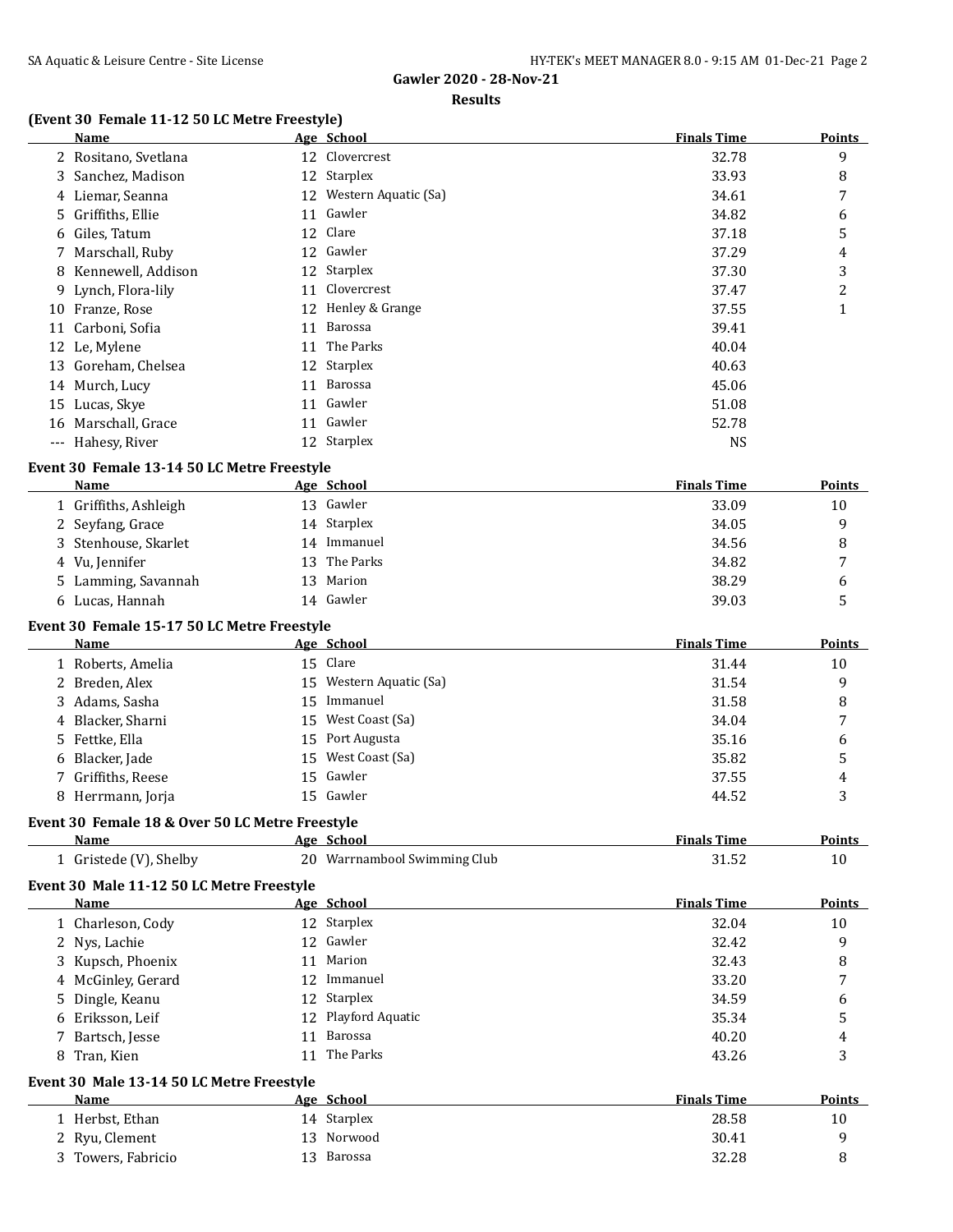#### **Results**

# **(Event 30 Female 11-12 50 LC Metre Freestyle)**

|    | Name                 |    | Age School              | <b>Finals Time</b> | <b>Points</b> |
|----|----------------------|----|-------------------------|--------------------|---------------|
|    | 2 Rositano, Svetlana |    | 12 Clovercrest          | 32.78              | 9             |
|    | 3 Sanchez, Madison   |    | 12 Starplex             | 33.93              | 8             |
|    | 4 Liemar, Seanna     |    | 12 Western Aquatic (Sa) | 34.61              | 7             |
|    | 5 Griffiths, Ellie   | 11 | Gawler                  | 34.82              | 6             |
|    | 6 Giles, Tatum       |    | 12 Clare                | 37.18              | 5             |
|    | 7 Marschall, Ruby    | 12 | Gawler                  | 37.29              | 4             |
|    | 8 Kennewell, Addison |    | 12 Starplex             | 37.30              | 3             |
|    | 9 Lynch, Flora-lily  | 11 | Clovercrest             | 37.47              | 2             |
| 10 | Franze, Rose         |    | 12 Henley & Grange      | 37.55              | 1             |
| 11 | Carboni, Sofia       | 11 | Barossa                 | 39.41              |               |
| 12 | Le, Mylene           | 11 | The Parks               | 40.04              |               |
|    | 13 Goreham, Chelsea  |    | 12 Starplex             | 40.63              |               |
|    | 14 Murch, Lucy       | 11 | Barossa                 | 45.06              |               |
| 15 | Lucas, Skye          | 11 | Gawler                  | 51.08              |               |
| 16 | Marschall, Grace     | 11 | Gawler                  | 52.78              |               |
|    | --- Hahesy, River    |    | 12 Starplex             | <b>NS</b>          |               |

#### **Event 30 Female 13-14 50 LC Metre Freestyle**

| Name                  |     | Age School  | <b>Finals Time</b> | <b>Points</b> |
|-----------------------|-----|-------------|--------------------|---------------|
| 1 Griffiths, Ashleigh |     | 13 Gawler   | 33.09              | 10            |
| 2 Seyfang, Grace      |     | 14 Starplex | 34.05              |               |
| 3 Stenhouse, Skarlet  | 14  | Immanuel    | 34.56              |               |
| 4 Vu, Jennifer        | 13  | The Parks   | 34.82              | -             |
| 5 Lamming, Savannah   | 13. | Marion      | 38.29              | b             |
| 6 Lucas, Hannah       |     | 14 Gawler   | 39.03              |               |

#### **Event 30 Female 15-17 50 LC Metre Freestyle**

| Name               | Age School              | <b>Finals Time</b> | <b>Points</b>  |
|--------------------|-------------------------|--------------------|----------------|
| 1 Roberts, Amelia  | 15 Clare                | 31.44              | 10             |
| 2 Breden, Alex     | 15 Western Aquatic (Sa) | 31.54              | 9              |
| 3 Adams, Sasha     | 15 Immanuel             | 31.58              | 8              |
| 4 Blacker, Sharni  | 15 West Coast (Sa)      | 34.04              | 7              |
| 5 Fettke, Ella     | 15 Port Augusta         | 35.16              | b              |
| 6 Blacker, Jade    | 15 West Coast (Sa)      | 35.82              | 5              |
| 7 Griffiths, Reese | 15 Gawler               | 37.55              | $\overline{4}$ |
| 8 Herrmann, Jorja  | 15 Gawler               | 44.52              | 3              |

# **Event 30 Female 18 & Over 50 LC Metre Freestyle**

| <b>Name</b>          | Age<br>-Schoo'                  | <b>Finals Time</b> | <b>Points</b> |
|----------------------|---------------------------------|--------------------|---------------|
| Gristede (V), Shelby | Warrnambool Swimming Club<br>ገሰ | ے تی 1 ت           |               |

# **Event 30 Male 11-12 50 LC Metre Freestyle**

| <b>Name</b>                                      | Age School          | <b>Finals Time</b> | <b>Points</b> |
|--------------------------------------------------|---------------------|--------------------|---------------|
| 1 Charleson, Cody                                | 12 Starplex         | 32.04              | 10            |
| 2 Nys, Lachie                                    | 12 Gawler           | 32.42              | 9             |
| 3 Kupsch, Phoenix                                | 11 Marion           | 32.43              | 8             |
| 4 McGinley, Gerard                               | 12 Immanuel         | 33.20              | 7             |
| 5 Dingle, Keanu                                  | 12 Starplex         | 34.59              | 6             |
| 6 Eriksson, Leif                                 | 12 Playford Aquatic | 35.34              | 5             |
| 7 Bartsch, Jesse                                 | 11 Barossa          | 40.20              | 4             |
| 8 Tran, Kien                                     | 11 The Parks        | 43.26              | 3             |
| <b>Event 30 Male 13-14 50 LC Metre Freestyle</b> |                     |                    |               |

| Name             |    | Age School  | <b>Finals Time</b> | <b>Points</b> |
|------------------|----|-------------|--------------------|---------------|
| Herbst, Ethan    |    | 14 Starplex | 28.58              | 10            |
| 2 Ryu, Clement   |    | 13 Norwood  | 30.41              |               |
| Towers, Fabricio | 13 | Barossa     | 32.28              |               |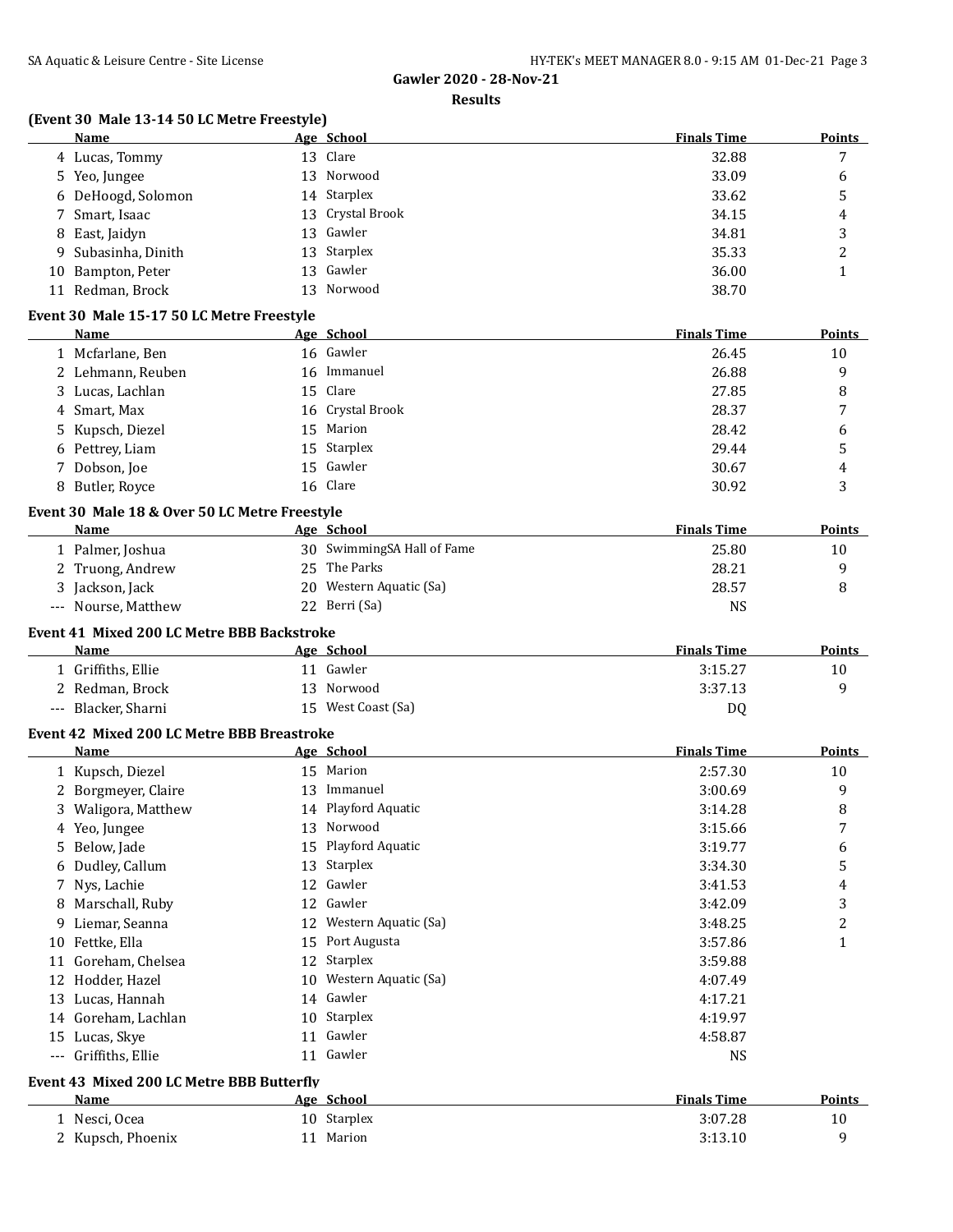#### **Results**

# **(Event 30 Male 13-14 50 LC Metre Freestyle)**

|    | Name                                          |    | Age School                 | <b>Finals Time</b> | <b>Points</b>  |
|----|-----------------------------------------------|----|----------------------------|--------------------|----------------|
|    | 4 Lucas, Tommy                                |    | 13 Clare                   | 32.88              | 7              |
|    | 5 Yeo, Jungee                                 | 13 | Norwood                    | 33.09              | 6              |
|    | 6 DeHoogd, Solomon                            | 14 | Starplex                   | 33.62              | 5              |
| 7  | Smart, Isaac                                  | 13 | Crystal Brook              | 34.15              | 4              |
| 8  | East, Jaidyn                                  | 13 | Gawler                     | 34.81              | 3              |
| 9  | Subasinha, Dinith                             | 13 | Starplex                   | 35.33              | 2              |
|    | 10 Bampton, Peter                             | 13 | Gawler                     | 36.00              | $\mathbf{1}$   |
|    | 11 Redman, Brock                              | 13 | Norwood                    | 38.70              |                |
|    |                                               |    |                            |                    |                |
|    | Event 30 Male 15-17 50 LC Metre Freestyle     |    |                            |                    |                |
|    | Name                                          |    | Age School                 | <b>Finals Time</b> | Points         |
|    | 1 Mcfarlane, Ben                              |    | 16 Gawler                  | 26.45              | 10             |
|    | 2 Lehmann, Reuben                             | 16 | Immanuel                   | 26.88              | 9              |
| 3  | Lucas, Lachlan                                | 15 | Clare                      | 27.85              | 8              |
| 4  | Smart, Max                                    | 16 | Crystal Brook              | 28.37              | 7              |
| 5  | Kupsch, Diezel                                | 15 | Marion                     | 28.42              | 6              |
|    | 6 Pettrey, Liam                               | 15 | Starplex                   | 29.44              | 5              |
|    | 7 Dobson, Joe                                 | 15 | Gawler                     | 30.67              | 4              |
|    | 8 Butler, Royce                               | 16 | Clare                      | 30.92              | 3              |
|    | Event 30 Male 18 & Over 50 LC Metre Freestyle |    |                            |                    |                |
|    | Name                                          |    | Age School                 | <b>Finals Time</b> | <b>Points</b>  |
|    | 1 Palmer, Joshua                              |    | 30 SwimmingSA Hall of Fame | 25.80              | 10             |
|    | 2 Truong, Andrew                              |    | 25 The Parks               | 28.21              | 9              |
|    | 3 Jackson, Jack                               | 20 | Western Aquatic (Sa)       | 28.57              | 8              |
|    | --- Nourse, Matthew                           |    | 22 Berri (Sa)              | <b>NS</b>          |                |
|    |                                               |    |                            |                    |                |
|    | Event 41 Mixed 200 LC Metre BBB Backstroke    |    |                            |                    |                |
|    | <b>Name</b>                                   |    | Age School                 | <b>Finals Time</b> | <b>Points</b>  |
|    | 1 Griffiths, Ellie                            |    | 11 Gawler                  | 3:15.27            | 10             |
|    | 2 Redman, Brock                               |    | 13 Norwood                 | 3:37.13            | 9              |
|    | --- Blacker, Sharni                           |    | 15 West Coast (Sa)         | DQ                 |                |
|    | Event 42 Mixed 200 LC Metre BBB Breastroke    |    |                            |                    |                |
|    | Name                                          |    | Age School                 | <b>Finals Time</b> | <b>Points</b>  |
|    | 1 Kupsch, Diezel                              |    | 15 Marion                  | 2:57.30            | 10             |
|    | 2 Borgmeyer, Claire                           |    | 13 Immanuel                | 3:00.69            | 9              |
|    | 3 Waligora, Matthew                           |    | 14 Playford Aquatic        | 3:14.28            | 8              |
|    | 4 Yeo, Jungee                                 |    | 13 Norwood                 | 3:15.66            | $\overline{7}$ |
|    | 5 Below, Jade                                 |    | 15 Playford Aquatic        | 3:19.77            | 6              |
|    | 6 Dudley, Callum                              | 13 | Starplex                   | 3:34.30            | 5              |
| 7  | Nys, Lachie                                   | 12 | Gawler                     | 3:41.53            | 4              |
| 8  | Marschall, Ruby                               | 12 | Gawler                     | 3:42.09            | 3              |
| 9  | Liemar, Seanna                                | 12 | Western Aquatic (Sa)       | 3:48.25            | $\overline{c}$ |
|    | 10 Fettke, Ella                               | 15 | Port Augusta               | 3:57.86            | $\mathbf{1}$   |
| 11 | Goreham, Chelsea                              | 12 | Starplex                   | 3:59.88            |                |
| 12 | Hodder, Hazel                                 | 10 | Western Aquatic (Sa)       | 4:07.49            |                |
|    | 13 Lucas, Hannah                              | 14 | Gawler                     | 4:17.21            |                |
|    | 14 Goreham, Lachlan                           |    | Starplex                   |                    |                |
|    |                                               | 10 |                            | 4:19.97            |                |
|    | 15 Lucas, Skye                                |    | 11 Gawler                  | 4:58.87            |                |
|    | --- Griffiths, Ellie                          |    | 11 Gawler                  | <b>NS</b>          |                |
|    | Event 43 Mixed 200 LC Metre BBB Butterfly     |    |                            |                    |                |
|    | Name                                          |    | Age School                 | <b>Finals Time</b> | <b>Points</b>  |
|    | 1 Nesci, Ocea                                 |    | 10 Starplex                | 3:07.28            | 10             |
|    | 2 Kupsch, Phoenix                             |    | 11 Marion                  | 3:13.10            | 9              |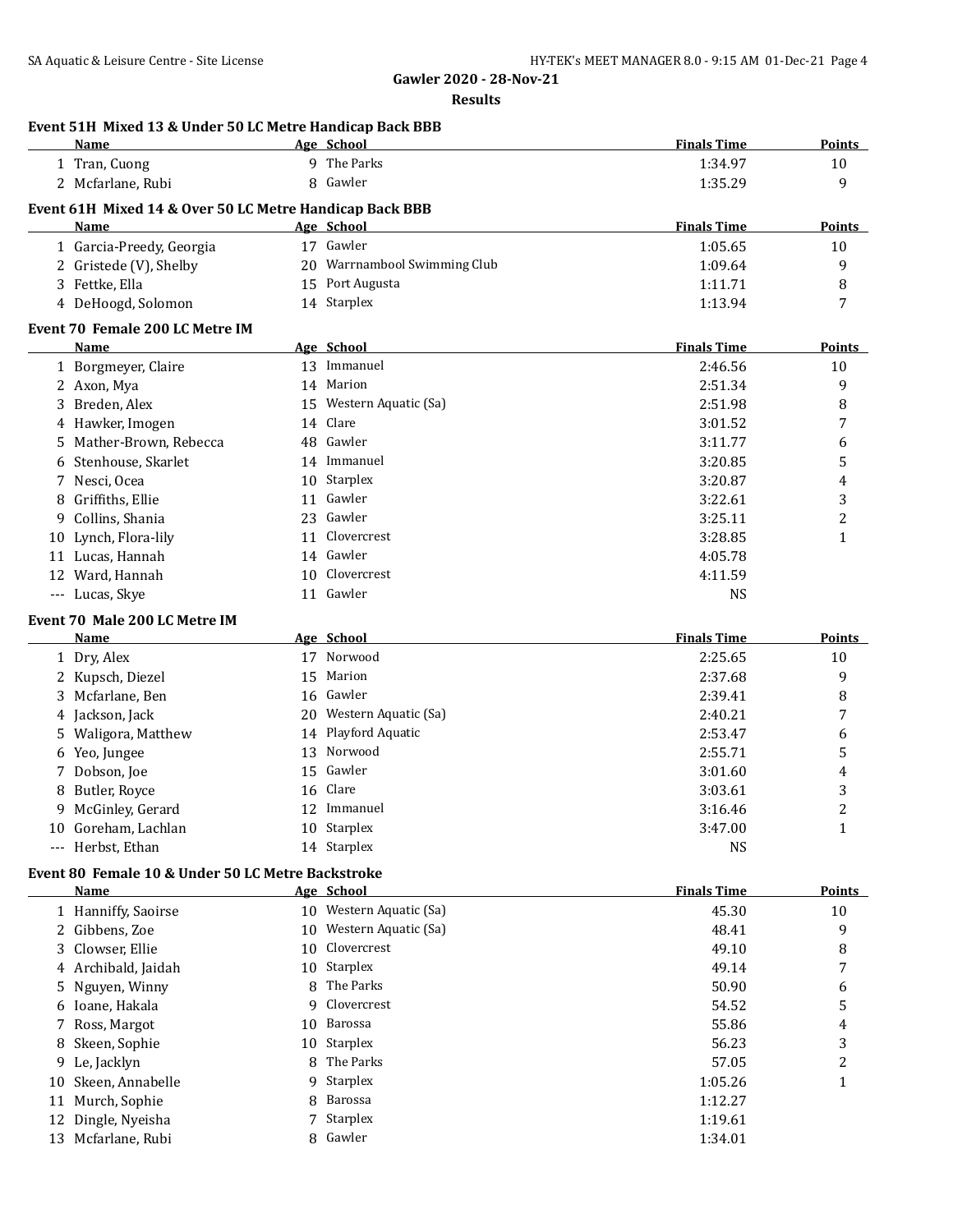|    | Name                                                    |    | Age School                   | <b>Finals Time</b> | Points         |
|----|---------------------------------------------------------|----|------------------------------|--------------------|----------------|
|    | 1 Tran, Cuong                                           |    | 9 The Parks                  | 1:34.97            | 10             |
|    | 2 Mcfarlane, Rubi                                       | 8  | Gawler                       | 1:35.29            | 9              |
|    | Event 61H Mixed 14 & Over 50 LC Metre Handicap Back BBB |    |                              |                    |                |
|    | Name                                                    |    | Age School                   | <b>Finals Time</b> | <b>Points</b>  |
|    | 1 Garcia-Preedy, Georgia                                |    | 17 Gawler                    | 1:05.65            | 10             |
|    | 2 Gristede (V), Shelby                                  |    | 20 Warrnambool Swimming Club | 1:09.64            | 9              |
|    | 3 Fettke, Ella                                          |    | 15 Port Augusta              | 1:11.71            | 8              |
|    | 4 DeHoogd, Solomon                                      |    | 14 Starplex                  | 1:13.94            | 7              |
|    |                                                         |    |                              |                    |                |
|    | Event 70 Female 200 LC Metre IM<br><b>Name</b>          |    | Age School                   | <b>Finals Time</b> | Points         |
|    | 1 Borgmeyer, Claire                                     |    | 13 Immanuel                  | 2:46.56            | 10             |
|    |                                                         |    | 14 Marion                    |                    | 9              |
|    | 2 Axon, Mya                                             |    |                              | 2:51.34            |                |
|    | Breden, Alex                                            |    | 15 Western Aquatic (Sa)      | 2:51.98            | 8              |
|    | 4 Hawker, Imogen                                        |    | 14 Clare                     | 3:01.52            | 7              |
| 5  | Mather-Brown, Rebecca                                   |    | 48 Gawler                    | 3:11.77            | 6              |
| 6  | Stenhouse, Skarlet                                      |    | 14 Immanuel                  | 3:20.85            | 5              |
|    | 7 Nesci, Ocea                                           | 10 | Starplex                     | 3:20.87            | 4              |
| 8  | Griffiths, Ellie                                        | 11 | Gawler                       | 3:22.61            | 3              |
| 9. | Collins, Shania                                         | 23 | Gawler                       | 3:25.11            | $\overline{c}$ |
| 10 | Lynch, Flora-lily                                       | 11 | Clovercrest                  | 3:28.85            | $\mathbf{1}$   |
|    | 11 Lucas, Hannah                                        | 14 | Gawler                       | 4:05.78            |                |
|    | 12 Ward, Hannah                                         | 10 | Clovercrest                  | 4:11.59            |                |
|    | --- Lucas, Skye                                         |    | 11 Gawler                    | NS                 |                |
|    | Event 70 Male 200 LC Metre IM                           |    |                              |                    |                |
|    | <b>Name</b>                                             |    | Age School                   | <b>Finals Time</b> | <b>Points</b>  |
|    | 1 Dry, Alex                                             |    | 17 Norwood                   | 2:25.65            | 10             |
|    | 2 Kupsch, Diezel                                        | 15 | Marion                       | 2:37.68            | 9              |
| 3  | Mcfarlane, Ben                                          |    | 16 Gawler                    | 2:39.41            | 8              |
|    | 4 Jackson, Jack                                         |    | 20 Western Aquatic (Sa)      | 2:40.21            | 7              |
|    | 5 Waligora, Matthew                                     | 14 | Playford Aquatic             | 2:53.47            | 6              |
| 6  | Yeo, Jungee                                             | 13 | Norwood                      | 2:55.71            | 5              |
| 7  | Dobson, Joe                                             | 15 | Gawler                       | 3:01.60            | 4              |
| 8  | Butler, Royce                                           | 16 | Clare                        | 3:03.61            | 3              |
| 9  | McGinley, Gerard                                        |    | 12 Immanuel                  | 3:16.46            | $\overline{c}$ |
|    | 10 Goreham, Lachlan                                     | 10 | Starplex                     | 3:47.00            | $\mathbf{1}$   |
|    | --- Herbst, Ethan                                       |    | 14 Starplex                  | <b>NS</b>          |                |
|    |                                                         |    |                              |                    |                |
|    | Event 80 Female 10 & Under 50 LC Metre Backstroke       |    |                              |                    |                |
|    | Name                                                    |    | Age School                   | <b>Finals Time</b> | <b>Points</b>  |
|    | 1 Hanniffy, Saoirse                                     |    | 10 Western Aquatic (Sa)      | 45.30              | 10             |
|    | 2 Gibbens, Zoe                                          | 10 | Western Aquatic (Sa)         | 48.41              | 9              |
| 3  | Clowser, Ellie                                          | 10 | Clovercrest                  | 49.10              | 8              |
| 4  | Archibald, Jaidah                                       | 10 | Starplex                     | 49.14              | 7              |
| 5  | Nguyen, Winny                                           | 8  | The Parks                    | 50.90              | 6              |
| 6  | Ioane, Hakala                                           | 9  | Clovercrest                  | 54.52              | 5              |
| 7  | Ross, Margot                                            | 10 | Barossa                      | 55.86              | 4              |
| 8  | Skeen, Sophie                                           | 10 | Starplex                     | 56.23              | 3              |
|    | Le, Jacklyn                                             | 8  | The Parks                    | 57.05              | $\overline{c}$ |
| 9  |                                                         |    |                              | 1:05.26            | $\mathbf{1}$   |
| 10 | Skeen, Annabelle                                        | 9  | Starplex                     |                    |                |
| 11 |                                                         | 8  | Barossa                      |                    |                |
| 12 | Murch, Sophie<br>Dingle, Nyeisha                        | 7  | Starplex                     | 1:12.27<br>1:19.61 |                |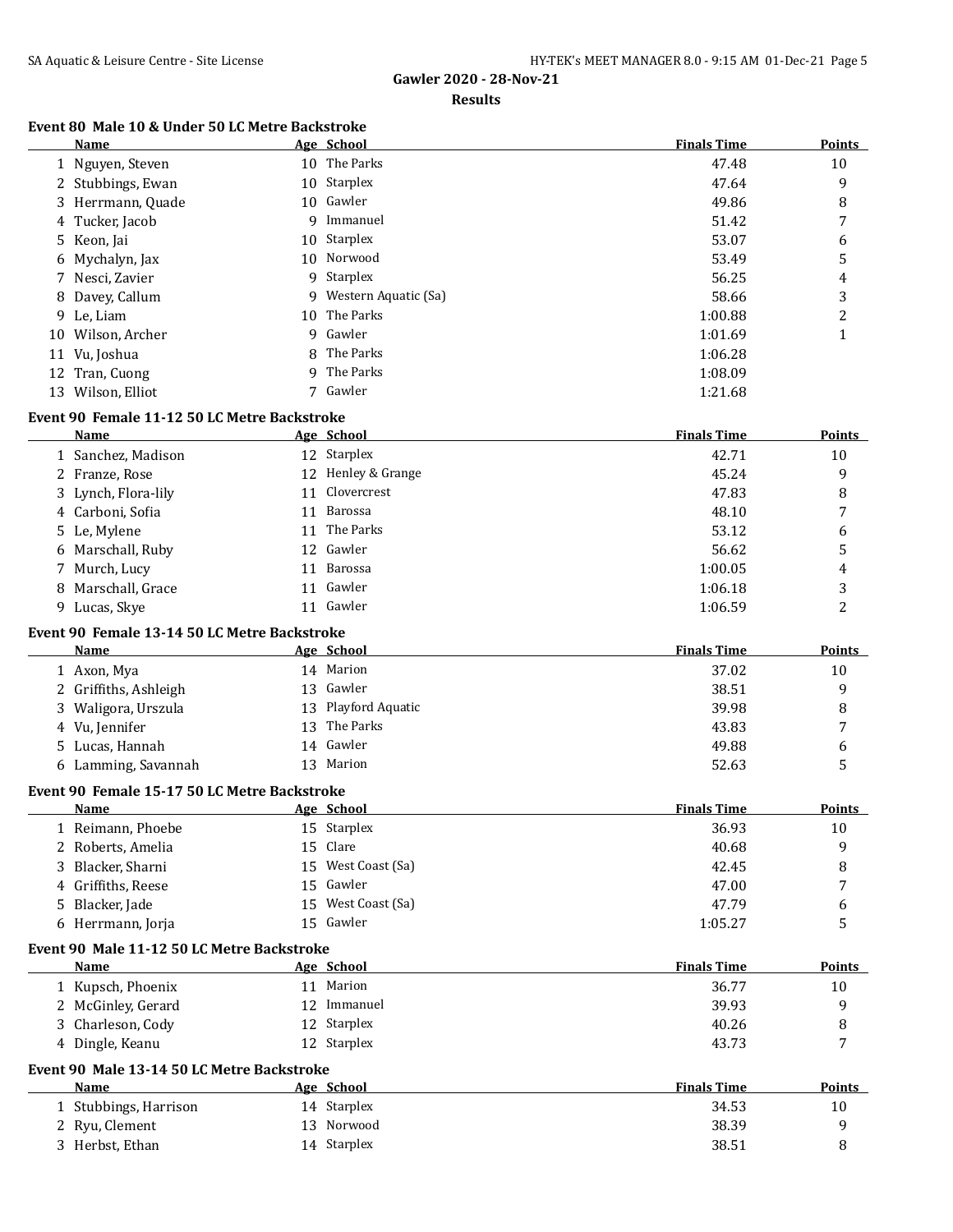#### **Results**

## **Event 80 Male 10 & Under 50 LC Metre Backstroke**

| Name              | Age School             | <b>Finals Time</b> | <b>Points</b> |
|-------------------|------------------------|--------------------|---------------|
| 1 Nguyen, Steven  | 10 The Parks           | 47.48              | 10            |
| 2 Stubbings, Ewan | 10 Starplex            | 47.64              | 9             |
| 3 Herrmann, Quade | 10 Gawler              | 49.86              | 8             |
| 4 Tucker, Jacob   | 9 Immanuel             | 51.42              | 7             |
| 5 Keon, Jai       | 10 Starplex            | 53.07              | 6             |
| 6 Mychalyn, Jax   | 10 Norwood             | 53.49              | 5             |
| 7 Nesci, Zavier   | 9 Starplex             | 56.25              | 4             |
| 8 Davey, Callum   | 9 Western Aquatic (Sa) | 58.66              | 3             |
| 9 Le, Liam        | 10 The Parks           | 1:00.88            | 2             |
| 10 Wilson, Archer | 9 Gawler               | 1:01.69            | 1             |
| 11 Vu, Joshua     | 8 The Parks            | 1:06.28            |               |
| 12 Tran, Cuong    | 9 The Parks            | 1:08.09            |               |
| 13 Wilson, Elliot | 7 Gawler               | 1:21.68            |               |

#### **Event 90 Female 11-12 50 LC Metre Backstroke**

| <b>Name</b>         | Age School         | <b>Finals Time</b> | <b>Points</b> |
|---------------------|--------------------|--------------------|---------------|
| 1 Sanchez, Madison  | 12 Starplex        | 42.71              | 10            |
| 2 Franze, Rose      | 12 Henley & Grange | 45.24              | 9             |
| 3 Lynch, Flora-lily | 11 Clovercrest     | 47.83              | 8             |
| 4 Carboni, Sofia    | Barossa<br>11      | 48.10              | 7             |
| 5 Le, Mylene        | 11 The Parks       | 53.12              | 6             |
| 6 Marschall, Ruby   | 12 Gawler          | 56.62              | 5             |
| 7 Murch, Lucy       | Barossa<br>11      | 1:00.05            | 4             |
| 8 Marschall, Grace  | 11 Gawler          | 1:06.18            | 3             |
| 9 Lucas, Skye       | Gawler             | 1:06.59            | ∍             |

#### **Event 90 Female 13-14 50 LC Metre Backstroke**

| Name                  |     | Age School          | <b>Finals Time</b> | Points |
|-----------------------|-----|---------------------|--------------------|--------|
| 1 Axon, Mya           |     | 14 Marion           | 37.02              | 10     |
| 2 Griffiths, Ashleigh |     | 13 Gawler           | 38.51              | 9      |
| 3 Waligora, Urszula   |     | 13 Playford Aquatic | 39.98              | 8      |
| 4 Vu, Jennifer        | 13. | The Parks           | 43.83              |        |
| 5 Lucas, Hannah       |     | 14 Gawler           | 49.88              | 6      |
| 6 Lamming, Savannah   |     | 13 Marion           | 52.63              |        |

#### **Event 90 Female 15-17 50 LC Metre Backstroke**

| Name               | Age School         | <b>Finals Time</b> | <b>Points</b> |
|--------------------|--------------------|--------------------|---------------|
| 1 Reimann, Phoebe  | 15 Starplex        | 36.93              | 10            |
| 2 Roberts, Amelia  | 15 Clare           | 40.68              | q             |
| 3 Blacker, Sharni  | 15 West Coast (Sa) | 42.45              | 8             |
| 4 Griffiths, Reese | 15 Gawler          | 47.00              | 7             |
| 5 Blacker, Jade    | 15 West Coast (Sa) | 47.79              | b             |
| 6 Herrmann, Jorja  | 15 Gawler          | 1:05.27            |               |

#### **Event 90 Male 11-12 50 LC Metre Backstroke**

| Name               | Age School  | <b>Finals Time</b> | <b>Points</b> |
|--------------------|-------------|--------------------|---------------|
| 1 Kupsch, Phoenix  | Marion      | 36.77              | 10            |
| 2 McGinley, Gerard | Immanuel    | 39.93              |               |
| 3 Charleson, Cody  | 12 Starplex | 40.26              |               |
| Dingle, Keanu      | 12 Starplex | 43.73              | -             |

## **Event 90 Male 13-14 50 LC Metre Backstroke**

 $\overline{\phantom{a}}$ 

| Name                  | Age School  | <b>Finals Time</b> | <b>Points</b> |
|-----------------------|-------------|--------------------|---------------|
| 1 Stubbings, Harrison | 14 Starplex | 34.53              | 10            |
| 2 Ryu, Clement        | 13 Norwood  | 38.39              |               |
| 3 Herbst, Ethan       | 14 Starplex | 38.51              |               |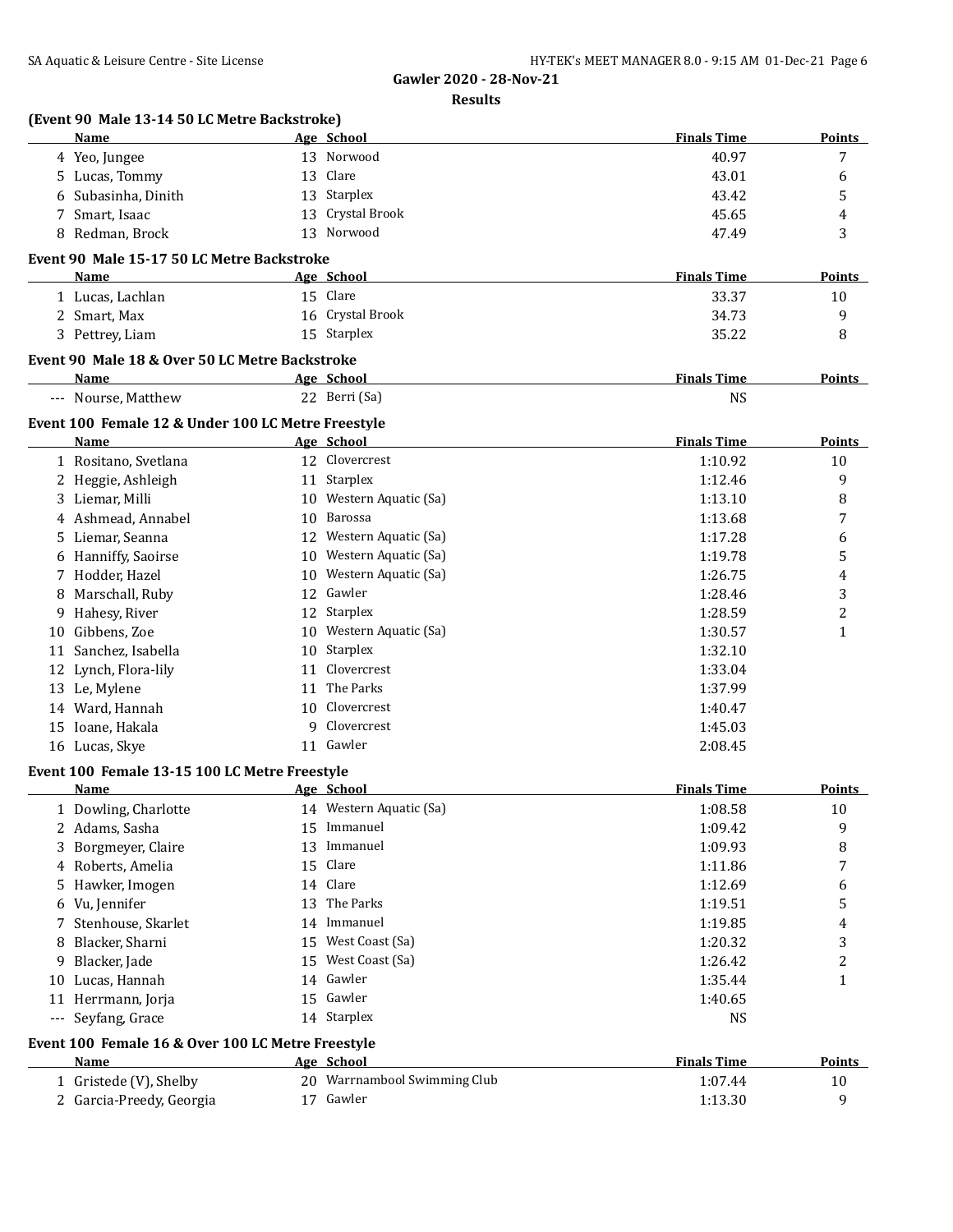| Name                                               | Age School                                            | <b>Finals Time</b>            | Points              |
|----------------------------------------------------|-------------------------------------------------------|-------------------------------|---------------------|
| 4 Yeo, Jungee                                      | 13 Norwood                                            | 40.97                         | 7                   |
| 5 Lucas, Tommy                                     | Clare<br>13                                           | 43.01                         | 6                   |
| Subasinha, Dinith<br>6                             | Starplex<br>13                                        | 43.42                         | 5                   |
| 7 Smart, Isaac                                     | Crystal Brook<br>13                                   | 45.65                         | 4                   |
| Redman, Brock<br>8                                 | Norwood<br>13                                         | 47.49                         | 3                   |
| Event 90 Male 15-17 50 LC Metre Backstroke         |                                                       |                               |                     |
| Name                                               | Age School                                            | <b>Finals Time</b>            | <b>Points</b>       |
| 1 Lucas, Lachlan                                   | 15 Clare                                              | 33.37                         | 10                  |
| 2 Smart, Max                                       | 16 Crystal Brook                                      | 34.73                         | 9                   |
| 3 Pettrey, Liam                                    | 15 Starplex                                           | 35.22                         | 8                   |
| Event 90 Male 18 & Over 50 LC Metre Backstroke     |                                                       |                               |                     |
| <b>Name</b>                                        | Age School                                            | <b>Finals Time</b>            | Points              |
| --- Nourse, Matthew                                | 22 Berri (Sa)                                         | <b>NS</b>                     |                     |
|                                                    |                                                       |                               |                     |
| Event 100 Female 12 & Under 100 LC Metre Freestyle |                                                       |                               |                     |
| Name                                               | Age School                                            | <b>Finals Time</b>            | <b>Points</b>       |
| 1 Rositano, Svetlana                               | 12 Clovercrest                                        | 1:10.92                       | 10                  |
| 2 Heggie, Ashleigh                                 | 11 Starplex                                           | 1:12.46                       | 9                   |
| 3 Liemar, Milli                                    | 10 Western Aquatic (Sa)                               | 1:13.10                       | 8                   |
| Ashmead, Annabel<br>4<br>Liemar, Seanna            | Barossa<br>10                                         | 1:13.68                       | 7                   |
| 5.                                                 | Western Aquatic (Sa)<br>12<br>10 Western Aquatic (Sa) | 1:17.28                       | 6                   |
| Hanniffy, Saoirse<br>6                             | 10 Western Aquatic (Sa)                               | 1:19.78                       | 5                   |
| 7 Hodder, Hazel<br>Marschall, Ruby                 | 12 Gawler                                             | 1:26.75<br>1:28.46            | 4<br>3              |
| 8<br>Hahesy, River<br>9                            | 12 Starplex                                           | 1:28.59                       | 2                   |
| Gibbens, Zoe<br>10                                 | 10 Western Aquatic (Sa)                               | 1:30.57                       | 1                   |
| Sanchez, Isabella<br>11                            | 10 Starplex                                           | 1:32.10                       |                     |
| 12 Lynch, Flora-lily                               | Clovercrest<br>11                                     | 1:33.04                       |                     |
| 13 Le, Mylene                                      | The Parks<br>11                                       | 1:37.99                       |                     |
| 14 Ward, Hannah                                    | 10 Clovercrest                                        | 1:40.47                       |                     |
| 15 Ioane, Hakala                                   | 9 Clovercrest                                         | 1:45.03                       |                     |
| 16 Lucas, Skye                                     | 11 Gawler                                             | 2:08.45                       |                     |
|                                                    |                                                       |                               |                     |
| Event 100 Female 13-15 100 LC Metre Freestyle      |                                                       | <b>Finals Time</b>            | Points              |
| Name                                               | Age School<br>14 Western Aquatic (Sa)                 |                               |                     |
| 1 Dowling, Charlotte                               | 15 Immanuel                                           | 1:08.58                       | 10<br>9             |
| 2 Adams, Sasha<br>Borgmeyer, Claire<br>3           | 13 Immanuel                                           | 1:09.42<br>1:09.93            |                     |
| Roberts, Amelia<br>4                               | Clare<br>15                                           | 1:11.86                       | 8<br>7              |
| Hawker, Imogen<br>5.                               | 14 Clare                                              | 1:12.69                       | 6                   |
| Vu, Jennifer<br>6                                  | The Parks<br>13                                       | 1:19.51                       | 5                   |
| Stenhouse, Skarlet<br>7                            | 14 Immanuel                                           | 1:19.85                       | 4                   |
| Blacker, Sharni<br>8                               | 15 West Coast (Sa)                                    | 1:20.32                       | 3                   |
| Blacker, Jade<br>9                                 | 15 West Coast (Sa)                                    | 1:26.42                       | 2                   |
| Lucas, Hannah<br>10                                | Gawler<br>14                                          | 1:35.44                       | $\mathbf{1}$        |
| 11 Herrmann, Jorja                                 | 15 Gawler                                             | 1:40.65                       |                     |
| --- Seyfang, Grace                                 | 14 Starplex                                           | <b>NS</b>                     |                     |
|                                                    |                                                       |                               |                     |
| Event 100 Female 16 & Over 100 LC Metre Freestyle  |                                                       |                               |                     |
| Name                                               | Age School<br>20 Warrnambool Swimming Club            | <b>Finals Time</b><br>1:07.44 | <b>Points</b><br>10 |
| 1 Gristede (V), Shelby                             |                                                       |                               | 9                   |
| 2 Garcia-Preedy, Georgia                           | 17 Gawler                                             | 1:13.30                       |                     |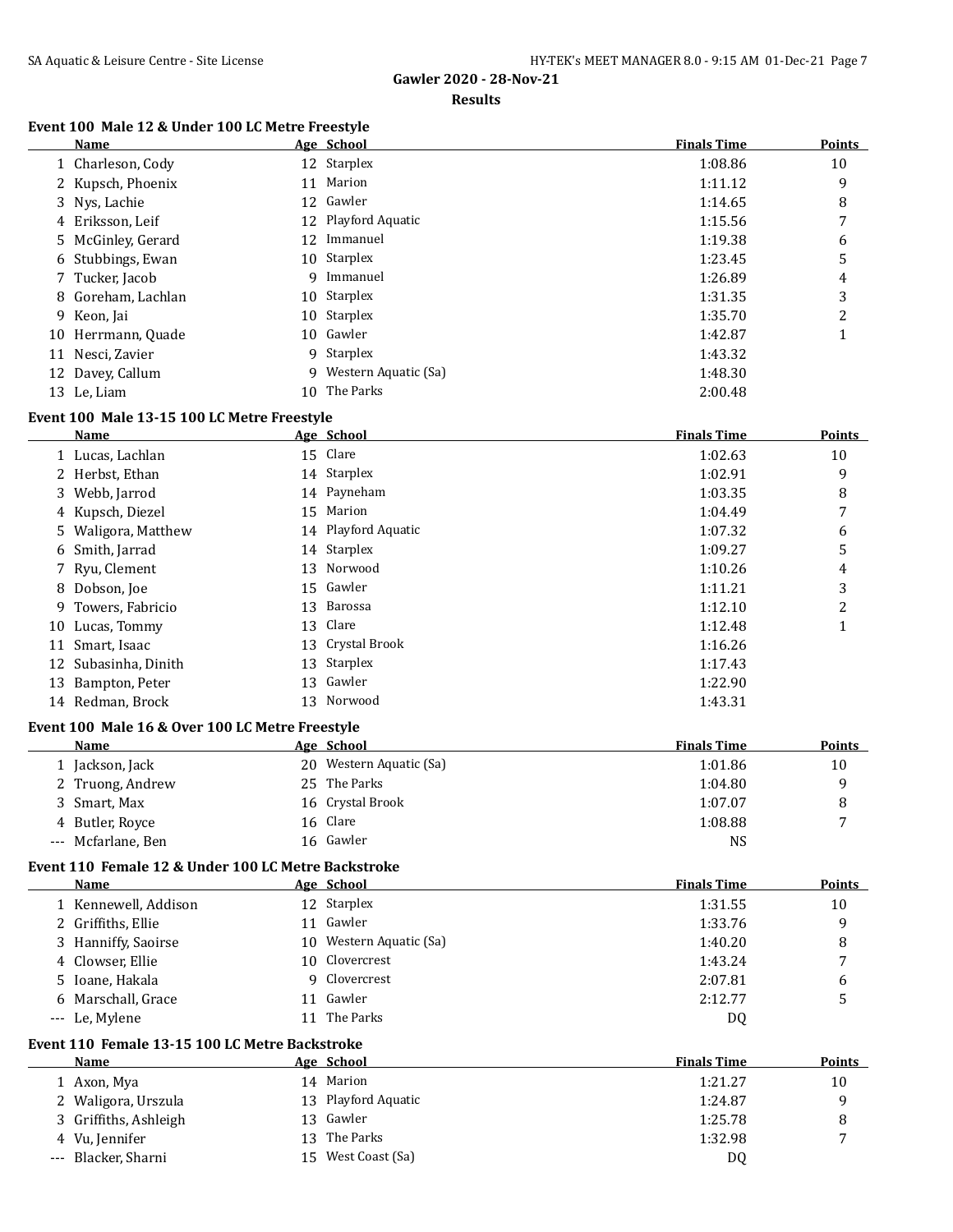#### **Results**

### **Event 100 Male 12 & Under 100 LC Metre Freestyle**

| Name               |    | Age School           | <b>Finals Time</b> | <b>Points</b> |
|--------------------|----|----------------------|--------------------|---------------|
| 1 Charleson, Cody  |    | 12 Starplex          | 1:08.86            | 10            |
| 2 Kupsch, Phoenix  | 11 | Marion               | 1:11.12            | 9             |
| 3 Nys, Lachie      |    | 12 Gawler            | 1:14.65            | 8             |
| 4 Eriksson, Leif   |    | 12 Playford Aquatic  | 1:15.56            | 7             |
| 5 McGinley, Gerard |    | 12 Immanuel          | 1:19.38            | 6             |
| 6 Stubbings, Ewan  |    | 10 Starplex          | 1:23.45            | 5             |
| 7 Tucker, Jacob    | 9  | Immanuel             | 1:26.89            | 4             |
| 8 Goreham, Lachlan |    | 10 Starplex          | 1:31.35            | 3             |
| 9 Keon, Jai        |    | 10 Starplex          | 1:35.70            | 2             |
| 10 Herrmann, Quade |    | 10 Gawler            | 1:42.87            |               |
| 11 Nesci, Zavier   |    | 9 Starplex           | 1:43.32            |               |
| 12 Davey, Callum   | q  | Western Aquatic (Sa) | 1:48.30            |               |
| 13 Le, Liam        | 10 | The Parks            | 2:00.48            |               |

#### **Event 100 Male 13-15 100 LC Metre Freestyle**

|    | Name                 | Age School          | <b>Finals Time</b> | <b>Points</b> |
|----|----------------------|---------------------|--------------------|---------------|
|    | 1 Lucas, Lachlan     | 15 Clare            | 1:02.63            | 10            |
|    | 2 Herbst, Ethan      | 14 Starplex         | 1:02.91            | 9             |
|    | 3 Webb, Jarrod       | 14 Payneham         | 1:03.35            | 8             |
|    | 4 Kupsch, Diezel     | 15 Marion           | 1:04.49            | 7             |
|    | 5 Waligora, Matthew  | 14 Playford Aquatic | 1:07.32            | 6             |
|    | 6 Smith, Jarrad      | 14 Starplex         | 1:09.27            | 5             |
|    | 7 Ryu, Clement       | 13 Norwood          | 1:10.26            | 4             |
|    | 8 Dobson, Joe        | 15 Gawler           | 1:11.21            | 3             |
|    | 9 Towers, Fabricio   | 13 Barossa          | 1:12.10            | 2             |
|    | 10 Lucas, Tommy      | 13 Clare            | 1:12.48            |               |
| 11 | Smart, Isaac         | 13 Crystal Brook    | 1:16.26            |               |
|    | 12 Subasinha, Dinith | 13 Starplex         | 1:17.43            |               |
| 13 | Bampton, Peter       | 13 Gawler           | 1:22.90            |               |
|    | 14 Redman, Brock     | 13 Norwood          | 1:43.31            |               |

#### **Event 100 Male 16 & Over 100 LC Metre Freestyle**

| Name               | Age School              | <b>Finals Time</b> | <b>Points</b> |
|--------------------|-------------------------|--------------------|---------------|
| 1 Jackson, Jack    | 20 Western Aquatic (Sa) | 1:01.86            | 10            |
| 2 Truong, Andrew   | 25 The Parks            | 1:04.80            |               |
| 3 Smart, Max       | 16 Crystal Brook        | 1:07.07            |               |
| 4 Butler, Royce    | 16 Clare                | 1:08.88            | е,            |
| --- Mcfarlane, Ben | 16 Gawler               | NS                 |               |

## **Event 110 Female 12 & Under 100 LC Metre Backstroke**

| Name                 | Age School              | <b>Finals Time</b> | <b>Points</b> |
|----------------------|-------------------------|--------------------|---------------|
| 1 Kennewell, Addison | 12 Starplex             | 1:31.55            | 10            |
| 2 Griffiths, Ellie   | Gawler                  | 1:33.76            | q             |
| 3 Hanniffy, Saoirse  | 10 Western Aquatic (Sa) | 1:40.20            | 8             |
| 4 Clowser, Ellie     | 10 Clovercrest          | 1:43.24            |               |
| 5 Ioane, Hakala      | 9 Clovercrest           | 2:07.81            | 6             |
| 6 Marschall, Grace   | Gawler                  | 2:12.77            |               |
| --- Le, Mylene       | The Parks               | D0                 |               |

## **Event 110 Female 13-15 100 LC Metre Backstroke**

| Name                  | Age School |                     | <b>Finals Time</b> | <b>Points</b> |
|-----------------------|------------|---------------------|--------------------|---------------|
| 1 Axon, Mya           |            | 14 Marion           | 1:21.27            | 10            |
| 2 Waligora, Urszula   |            | 13 Playford Aquatic | 1:24.87            | a             |
| 3 Griffiths, Ashleigh |            | 13 Gawler           | 1:25.78            |               |
| 4 Vu, Jennifer        |            | 13 The Parks        | 1:32.98            | -             |
| --- Blacker, Sharni   | 15.        | West Coast (Sa)     | D0                 |               |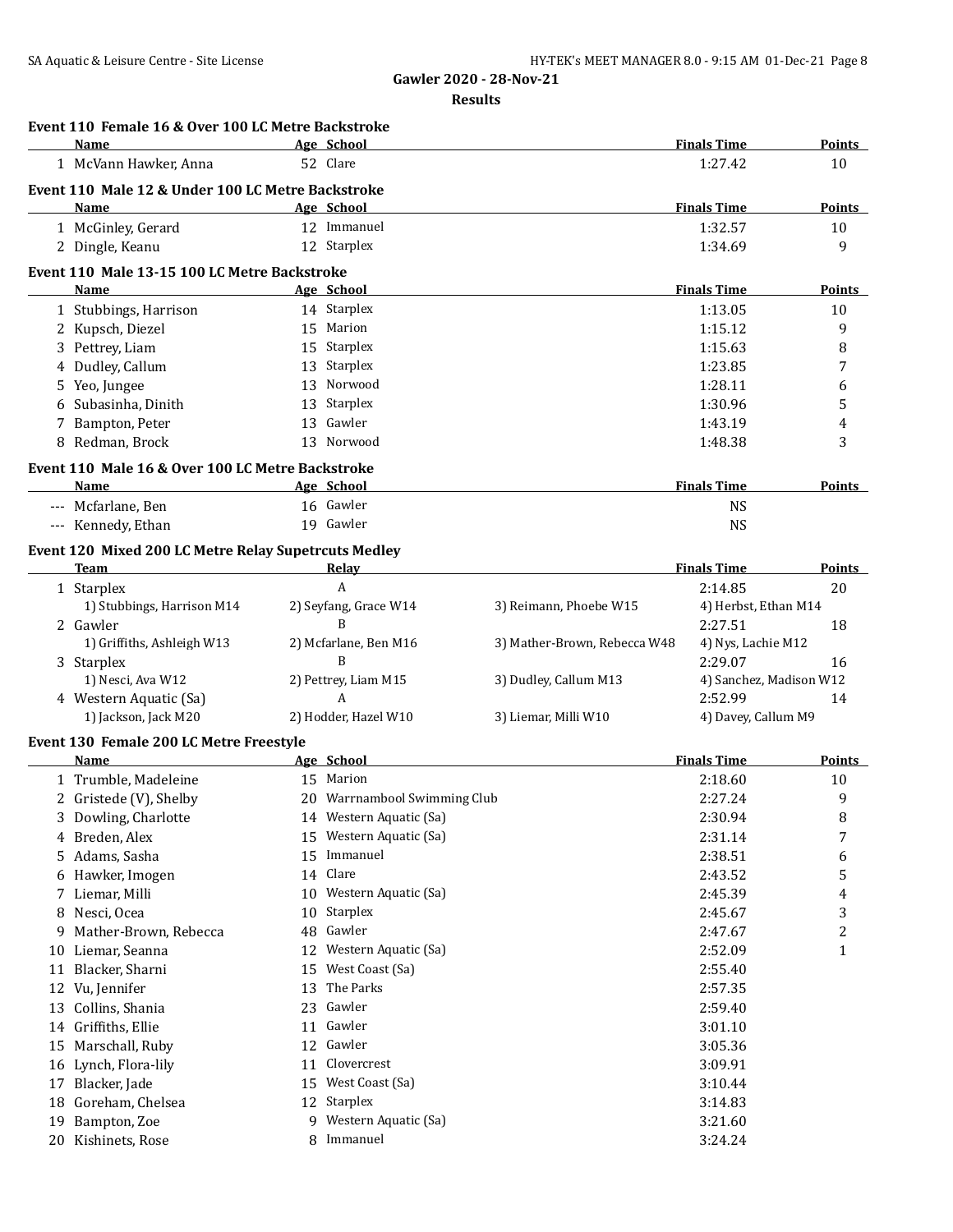|    | Event 110 Female 16 & Over 100 LC Metre Backstroke<br><b>Name</b> |    | Age School                   |                              | <b>Finals Time</b>      | Points                  |
|----|-------------------------------------------------------------------|----|------------------------------|------------------------------|-------------------------|-------------------------|
|    | 1 McVann Hawker, Anna                                             |    | 52 Clare                     |                              | 1:27.42                 | 10                      |
|    | Event 110 Male 12 & Under 100 LC Metre Backstroke                 |    |                              |                              |                         |                         |
|    | Name                                                              |    | Age School                   |                              | <b>Finals Time</b>      | <b>Points</b>           |
|    | 1 McGinley, Gerard                                                |    | 12 Immanuel                  |                              | 1:32.57                 | 10                      |
|    | 2 Dingle, Keanu                                                   |    | 12 Starplex                  |                              | 1:34.69                 | 9                       |
|    |                                                                   |    |                              |                              |                         |                         |
|    | Event 110 Male 13-15 100 LC Metre Backstroke                      |    |                              |                              |                         |                         |
|    | Name                                                              |    | Age School                   |                              | <b>Finals Time</b>      | Points                  |
|    | 1 Stubbings, Harrison                                             |    | 14 Starplex                  |                              | 1:13.05                 | 10                      |
|    | 2 Kupsch, Diezel                                                  |    | 15 Marion                    |                              | 1:15.12                 | 9                       |
| 3  | Pettrey, Liam                                                     | 15 | Starplex                     |                              | 1:15.63                 | 8                       |
| 4  | Dudley, Callum                                                    | 13 | Starplex                     |                              | 1:23.85                 | 7                       |
| 5  | Yeo, Jungee                                                       | 13 | Norwood                      |                              | 1:28.11                 | 6                       |
| 6  | Subasinha, Dinith                                                 | 13 | Starplex                     |                              | 1:30.96                 | 5                       |
| 7  | Bampton, Peter                                                    | 13 | Gawler                       |                              | 1:43.19                 | 4                       |
|    | 8 Redman, Brock                                                   |    | 13 Norwood                   |                              | 1:48.38                 | 3                       |
|    | Event 110 Male 16 & Over 100 LC Metre Backstroke                  |    |                              |                              |                         |                         |
|    | <b>Name</b>                                                       |    | Age School                   |                              | <b>Finals Time</b>      | Points                  |
|    | --- Mcfarlane, Ben                                                |    | 16 Gawler                    |                              | <b>NS</b>               |                         |
|    | --- Kennedy, Ethan                                                |    | 19 Gawler                    |                              | <b>NS</b>               |                         |
|    | Event 120 Mixed 200 LC Metre Relay Supetrcuts Medley              |    |                              |                              |                         |                         |
|    | <b>Team</b>                                                       |    | Relay                        |                              | <b>Finals Time</b>      | Points                  |
|    | 1 Starplex                                                        |    | A                            |                              | 2:14.85                 | 20                      |
|    | 1) Stubbings, Harrison M14                                        |    | 2) Seyfang, Grace W14        | 3) Reimann, Phoebe W15       | 4) Herbst, Ethan M14    |                         |
|    | 2 Gawler                                                          |    | B                            |                              | 2:27.51                 | 18                      |
|    | 1) Griffiths, Ashleigh W13                                        |    | 2) Mcfarlane, Ben M16        | 3) Mather-Brown, Rebecca W48 | 4) Nys, Lachie M12      |                         |
|    | 3 Starplex                                                        |    | B                            |                              | 2:29.07                 | 16                      |
|    | 1) Nesci, Ava W12                                                 |    | 2) Pettrey, Liam M15         | 3) Dudley, Callum M13        | 4) Sanchez, Madison W12 |                         |
|    | 4 Western Aquatic (Sa)                                            |    | A                            |                              | 2:52.99                 | 14                      |
|    | 1) Jackson, Jack M20                                              |    | 2) Hodder, Hazel W10         | 3) Liemar, Milli W10         | 4) Davey, Callum M9     |                         |
|    |                                                                   |    |                              |                              |                         |                         |
|    | Event 130 Female 200 LC Metre Freestyle                           |    |                              |                              |                         |                         |
|    | <b>Name</b>                                                       |    | Age School                   |                              | <b>Finals Time</b>      | Points                  |
|    | 1 Trumble, Madeleine                                              |    | 15 Marion                    |                              | 2:18.60                 | 10                      |
|    | 2 Gristede (V), Shelby                                            |    | 20 Warrnambool Swimming Club |                              | 2:27.24                 | 9                       |
| 3  | Dowling, Charlotte                                                |    | 14 Western Aquatic (Sa)      |                              | 2:30.94                 | 8                       |
| 4  | Breden, Alex                                                      | 15 | Western Aquatic (Sa)         |                              | 2:31.14                 | 7                       |
| 5  | Adams, Sasha                                                      | 15 | Immanuel                     |                              | 2:38.51                 | 6                       |
| 6  | Hawker, Imogen                                                    | 14 | Clare                        |                              | 2:43.52                 | 5                       |
|    | Liemar, Milli                                                     | 10 | Western Aquatic (Sa)         |                              | 2:45.39                 | 4                       |
| 8  | Nesci, Ocea                                                       | 10 | Starplex                     |                              | 2:45.67                 | 3                       |
| 9  | Mather-Brown, Rebecca                                             | 48 | Gawler                       |                              | 2:47.67                 | $\overline{\mathbf{c}}$ |
| 10 | Liemar, Seanna                                                    | 12 | Western Aquatic (Sa)         |                              | 2:52.09                 | $\mathbf{1}$            |
| 11 | Blacker, Sharni                                                   | 15 | West Coast (Sa)              |                              | 2:55.40                 |                         |
| 12 | Vu, Jennifer                                                      | 13 | The Parks                    |                              | 2:57.35                 |                         |
|    | 13 Collins, Shania                                                | 23 | Gawler                       |                              | 2:59.40                 |                         |
|    | 14 Griffiths, Ellie                                               |    | 11 Gawler                    |                              | 3:01.10                 |                         |
| 15 | Marschall, Ruby                                                   |    | 12 Gawler                    |                              | 3:05.36                 |                         |
| 16 | Lynch, Flora-lily                                                 | 11 | Clovercrest                  |                              | 3:09.91                 |                         |
| 17 | Blacker, Jade                                                     | 15 | West Coast (Sa)              |                              | 3:10.44                 |                         |
| 18 | Goreham, Chelsea                                                  |    | 12 Starplex                  |                              | 3:14.83                 |                         |
|    |                                                                   |    |                              |                              |                         |                         |
| 19 | Bampton, Zoe                                                      | 9  | Western Aquatic (Sa)         |                              | 3:21.60                 |                         |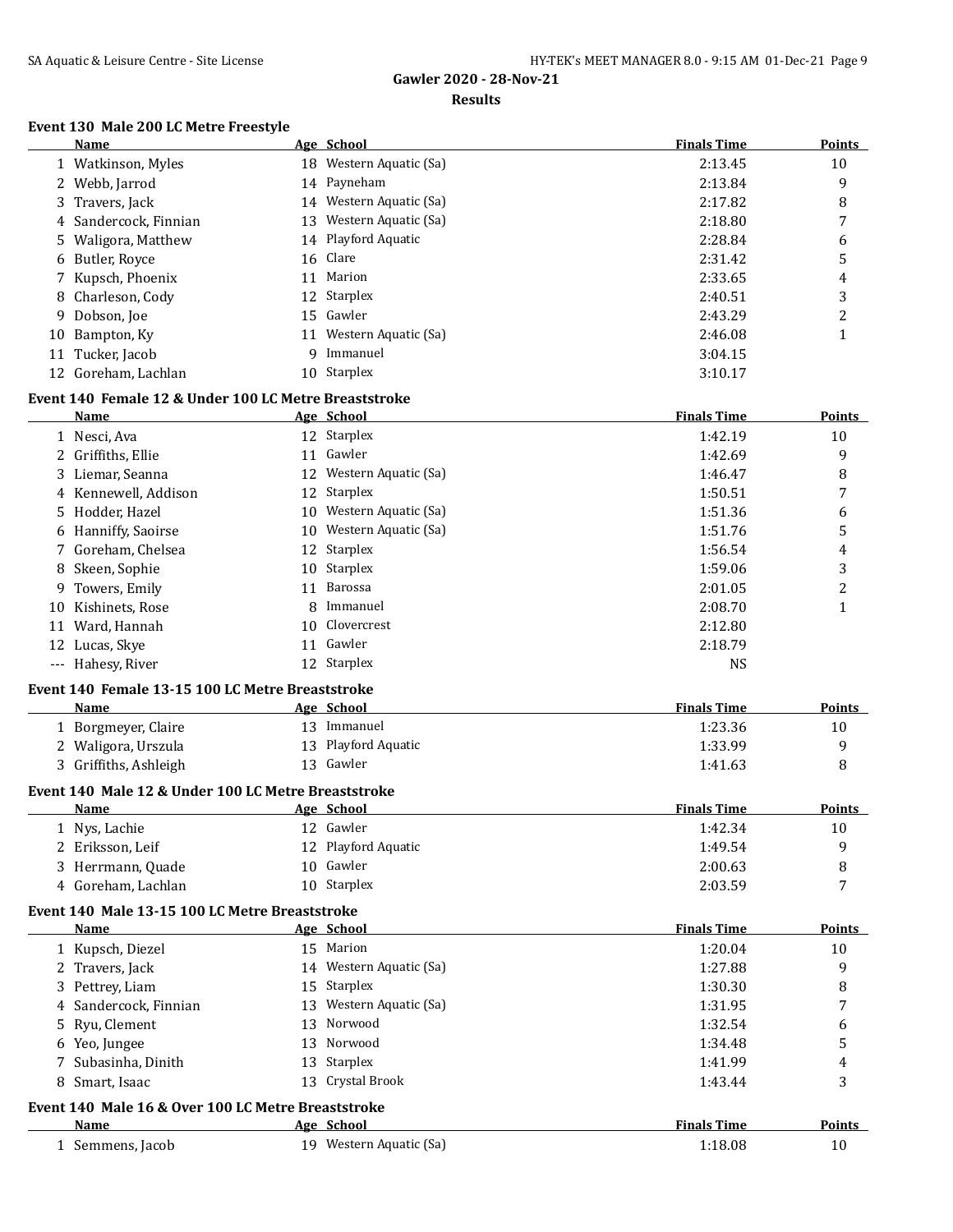#### **Results**

#### **Event 130 Male 200 LC Metre Freestyle**

| Name                  |     | Age School              | <b>Finals Time</b> | <b>Points</b> |
|-----------------------|-----|-------------------------|--------------------|---------------|
| 1 Watkinson, Myles    |     | 18 Western Aquatic (Sa) | 2:13.45            | 10            |
| 2 Webb, Jarrod        |     | 14 Payneham             | 2:13.84            | 9             |
| 3 Travers, Jack       |     | 14 Western Aquatic (Sa) | 2:17.82            | 8             |
| 4 Sandercock, Finnian | 13  | Western Aquatic (Sa)    | 2:18.80            | 7             |
| 5 Waligora, Matthew   |     | 14 Playford Aquatic     | 2:28.84            | 6             |
| 6 Butler, Royce       |     | 16 Clare                | 2:31.42            | 5             |
| 7 Kupsch, Phoenix     | 11  | Marion                  | 2:33.65            | 4             |
| 8 Charleson, Cody     |     | 12 Starplex             | 2:40.51            | 3             |
| 9 Dobson, Joe         |     | 15 Gawler               | 2:43.29            | າ             |
| 10 Bampton, Ky        | 11  | Western Aquatic (Sa)    | 2:46.08            |               |
| 11 Tucker, Jacob      | q   | Immanuel                | 3:04.15            |               |
| 12 Goreham, Lachlan   | 10. | Starplex                | 3:10.17            |               |

#### **Event 140 Female 12 & Under 100 LC Metre Breaststroke**

|    | Name                 |    | Age School              | <b>Finals Time</b> | <b>Points</b> |
|----|----------------------|----|-------------------------|--------------------|---------------|
|    | 1 Nesci, Ava         |    | 12 Starplex             | 1:42.19            | 10            |
|    | 2 Griffiths, Ellie   | 11 | Gawler                  | 1:42.69            | 9             |
|    | 3 Liemar, Seanna     |    | 12 Western Aquatic (Sa) | 1:46.47            | 8             |
|    | 4 Kennewell, Addison |    | 12 Starplex             | 1:50.51            | 7             |
|    | 5 Hodder, Hazel      |    | 10 Western Aquatic (Sa) | 1:51.36            | 6             |
|    | 6 Hanniffy, Saoirse  |    | 10 Western Aquatic (Sa) | 1:51.76            | 5             |
|    | 7 Goreham, Chelsea   |    | 12 Starplex             | 1:56.54            | 4             |
|    | 8 Skeen, Sophie      |    | 10 Starplex             | 1:59.06            | 3             |
|    | 9 Towers, Emily      | 11 | Barossa                 | 2:01.05            | 2             |
| 10 | Kishinets, Rose      | 8  | Immanuel                | 2:08.70            |               |
| 11 | Ward, Hannah         |    | 10 Clovercrest          | 2:12.80            |               |
|    | 12 Lucas, Skye       | 11 | Gawler                  | 2:18.79            |               |
|    | --- Hahesy, River    |    | 12 Starplex             | <b>NS</b>          |               |

#### **Event 140 Female 13-15 100 LC Metre Breaststroke**

| <b>Name</b>           | Age School          | <b>Finals Time</b><br><b>Points</b> |  |
|-----------------------|---------------------|-------------------------------------|--|
| 1 Borgmeyer, Claire   | Immanuel            | 1:23.36<br>10                       |  |
| 2 Waligora, Urszula   | 13 Playford Aquatic | 1:33.99                             |  |
| 3 Griffiths, Ashleigh | 13 Gawler           | 1:41.63                             |  |

## **Event 140 Male 12 & Under 100 LC Metre Breaststroke**

| Name               | Age School          | <b>Finals Time</b> | <b>Points</b> |
|--------------------|---------------------|--------------------|---------------|
| 1 Nys, Lachie      | 12 Gawler           | 1:42.34            | 10            |
| 2 Eriksson, Leif   | 12 Playford Aquatic | 1:49.54            |               |
| 3 Herrmann, Quade  | 10 Gawler           | 2:00.63            |               |
| 4 Goreham, Lachlan | 10 Starplex         | 2:03.59            | $\mathbf{r}$  |

#### **Event 140 Male 13-15 100 LC Metre Breaststroke**

| <b>Name</b>                                        | Age School              | <b>Finals Time</b> | Points |
|----------------------------------------------------|-------------------------|--------------------|--------|
| 1 Kupsch, Diezel                                   | 15 Marion               | 1:20.04            | 10     |
| 2 Travers, Jack                                    | 14 Western Aquatic (Sa) | 1:27.88            | 9      |
| 3 Pettrey, Liam                                    | 15 Starplex             | 1:30.30            | 8      |
| 4 Sandercock, Finnian                              | 13 Western Aquatic (Sa) | 1:31.95            | 7      |
| 5 Ryu, Clement                                     | 13 Norwood              | 1:32.54            | 6      |
| 6 Yeo, Jungee                                      | 13 Norwood              | 1:34.48            | 5      |
| 7 Subasinha, Dinith                                | 13 Starplex             | 1:41.99            | 4      |
| 8 Smart, Isaac                                     | 13 Crystal Brook        | 1:43.44            | 3      |
| Event 140 Male 16 & Over 100 LC Metre Breaststroke |                         |                    |        |
| Name                                               | Age School              | <b>Finals Time</b> | Points |
| 1 Semmens, Jacob                                   | 19 Western Aquatic (Sa) | 1:18.08            | 10     |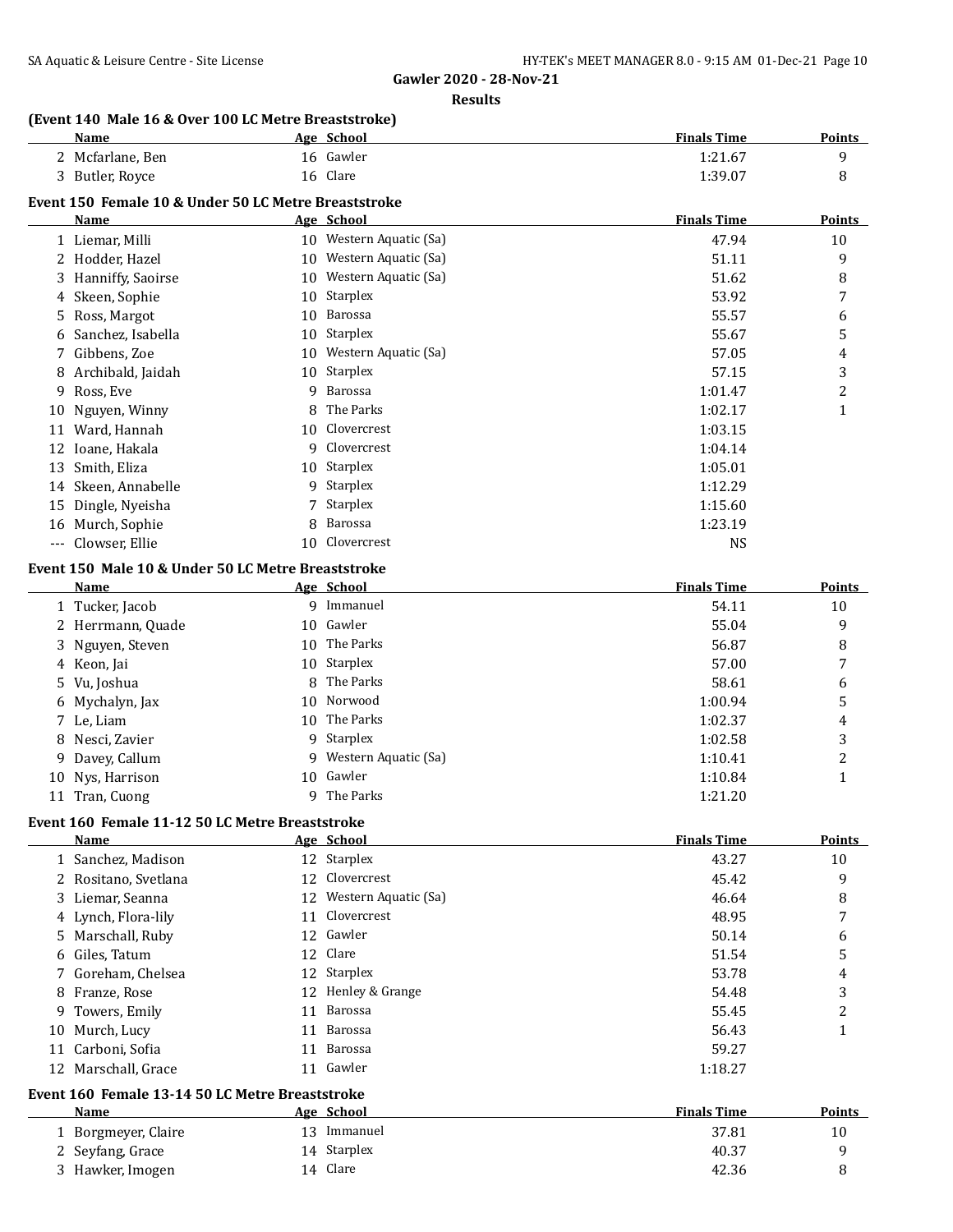**Results**

## **(Event 140 Male 16 & Over 100 LC Metre Breaststroke)**

| <b>Name</b>                                          | Age School | <b>Finals Time</b> | <b>Points</b> |
|------------------------------------------------------|------------|--------------------|---------------|
| 2 Mcfarlane, Ben                                     | 16 Gawler  | 1:21.67            |               |
| 3 Butler, Royce                                      | 16 Clare   | 1:39.07            |               |
| Event 150 Female 10 & Under 50 LC Metre Breaststroke |            |                    |               |
| Name                                                 | Age School | <b>Finals Time</b> | Points        |

|    | Liemar, Milli<br>10      |    | Western Aquatic (Sa) | 47.94   | 10 |
|----|--------------------------|----|----------------------|---------|----|
|    | 2 Hodder, Hazel          | 10 | Western Aquatic (Sa) | 51.11   | 9  |
|    | 3 Hanniffy, Saoirse      | 10 | Western Aquatic (Sa) | 51.62   | 8  |
|    | 4 Skeen, Sophie          | 10 | Starplex             | 53.92   | 7  |
| 5. | Ross, Margot             | 10 | Barossa              | 55.57   | 6  |
| 6  | Sanchez, Isabella        | 10 | Starplex             | 55.67   | 5  |
|    | 7 Gibbens, Zoe           | 10 | Western Aquatic (Sa) | 57.05   | 4  |
| 8  | Archibald, Jaidah        | 10 | Starplex             | 57.15   | 3  |
| 9  | Ross, Eve                | 9  | Barossa              | 1:01.47 | 2  |
|    | 10 Nguyen, Winny         | 8  | The Parks            | 1:02.17 |    |
| 11 | Ward, Hannah             | 10 | Clovercrest          | 1:03.15 |    |
|    | 12 Ioane, Hakala         | 9  | Clovercrest          | 1:04.14 |    |
|    | 13 Smith, Eliza          | 10 | Starplex             | 1:05.01 |    |
|    | 14 Skeen, Annabelle      |    | 9 Starplex           | 1:12.29 |    |
|    | 15 Dingle, Nyeisha       |    | 7 Starplex           | 1:15.60 |    |
| 16 | Murch, Sophie            | 8. | Barossa              | 1:23.19 |    |
|    | --- Clowser, Ellie<br>10 |    | Clovercrest          | NS      |    |

## **Event 150 Male 10 & Under 50 LC Metre Breaststroke**

| Name              |    | Age School             | <b>Finals Time</b> | Points |
|-------------------|----|------------------------|--------------------|--------|
| 1 Tucker, Jacob   |    | 9 Immanuel             | 54.11              | 10     |
| 2 Herrmann, Quade |    | 10 Gawler              | 55.04              | 9      |
| 3 Nguyen, Steven  |    | 10 The Parks           | 56.87              | 8      |
| 4 Keon, Jai       |    | 10 Starplex            | 57.00              | 7      |
| 5 Vu, Joshua      |    | 8 The Parks            | 58.61              | 6      |
| 6 Mychalyn, Jax   |    | 10 Norwood             | 1:00.94            | 5      |
| 7 Le, Liam        |    | 10 The Parks           | 1:02.37            | 4      |
| 8 Nesci, Zavier   |    | 9 Starplex             | 1:02.58            | 3      |
| 9 Davey, Callum   |    | 9 Western Aquatic (Sa) | 1:10.41            | າ      |
| 10 Nys, Harrison  |    | 10 Gawler              | 1:10.84            |        |
| 11 Tran, Cuong    | Q. | The Parks              | 1:21.20            |        |

# **Event 160 Female 11-12 50 LC Metre Breaststroke**

| Name                 |    | Age School              | <b>Finals Time</b> | Points         |
|----------------------|----|-------------------------|--------------------|----------------|
| 1 Sanchez, Madison   |    | 12 Starplex             | 43.27              | 10             |
| 2 Rositano, Svetlana |    | 12 Clovercrest          | 45.42              | 9              |
| 3 Liemar, Seanna     |    | 12 Western Aquatic (Sa) | 46.64              | 8              |
| 4 Lynch, Flora-lily  |    | 11 Clovercrest          | 48.95              | $\overline{7}$ |
| 5 Marschall, Ruby    |    | 12 Gawler               | 50.14              | 6              |
| 6 Giles, Tatum       |    | 12 Clare                | 51.54              | 5              |
| 7 Goreham, Chelsea   |    | 12 Starplex             | 53.78              | 4              |
| 8 Franze, Rose       |    | 12 Henley & Grange      | 54.48              | 3              |
| 9 Towers, Emily      | 11 | Barossa                 | 55.45              | 2              |
| 10 Murch, Lucy       | 11 | Barossa                 | 56.43              |                |
| 11 Carboni, Sofia    | 11 | Barossa                 | 59.27              |                |
| 12 Marschall, Grace  | 11 | Gawler                  | 1:18.27            |                |

### **Event 160 Female 13-14 50 LC Metre Breaststroke**

| Name                | Age School  | <b>Finals Time</b> | <b>Points</b> |
|---------------------|-------------|--------------------|---------------|
| 1 Borgmeyer, Claire | Immanuel    | 37.81              | 10            |
| 2 Seyfang, Grace    | 14 Starplex | 40.37              |               |
| 3 Hawker, Imogen    | Clare<br>14 | 42.36              |               |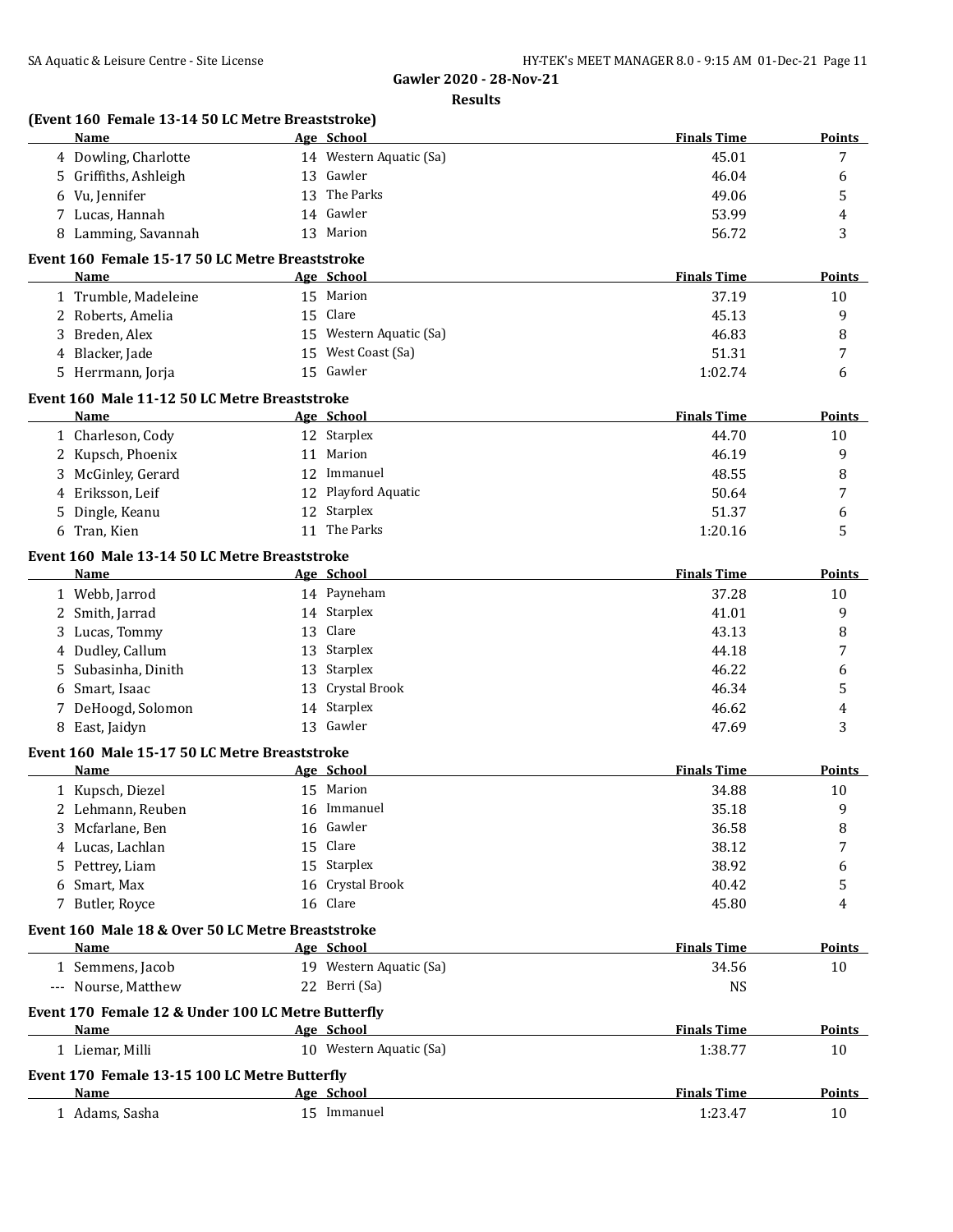| <b>Name</b>                                        | Age School              | <b>Finals Time</b> | Points        |
|----------------------------------------------------|-------------------------|--------------------|---------------|
| 4 Dowling, Charlotte                               | 14 Western Aquatic (Sa) | 45.01              | 7             |
| 5 Griffiths, Ashleigh                              | 13 Gawler               | 46.04              | 6             |
| 6 Vu, Jennifer                                     | 13 The Parks            | 49.06              | 5             |
| 7 Lucas, Hannah                                    | 14 Gawler               | 53.99              | 4             |
| 8 Lamming, Savannah                                | 13 Marion               | 56.72              | 3             |
| Event 160 Female 15-17 50 LC Metre Breaststroke    |                         |                    |               |
| <b>Name</b>                                        | Age School              | <b>Finals Time</b> | <b>Points</b> |
| 1 Trumble, Madeleine                               | 15 Marion               | 37.19              | 10            |
| 2 Roberts, Amelia                                  | 15 Clare                | 45.13              | 9             |
| 3 Breden, Alex                                     | 15 Western Aquatic (Sa) | 46.83              | 8             |
| 4 Blacker, Jade                                    | 15 West Coast (Sa)      | 51.31              | 7             |
| 5 Herrmann, Jorja                                  | 15 Gawler               | 1:02.74            | 6             |
| Event 160 Male 11-12 50 LC Metre Breaststroke      |                         |                    |               |
| Name                                               | Age School              | <b>Finals Time</b> | Points        |
| 1 Charleson, Cody                                  | 12 Starplex             | 44.70              | 10            |
| 2 Kupsch, Phoenix                                  | 11 Marion               | 46.19              | 9             |
| 3 McGinley, Gerard                                 | 12 Immanuel             | 48.55              | 8             |
| 4 Eriksson, Leif                                   | 12 Playford Aquatic     | 50.64              | 7             |
| Dingle, Keanu<br>5.                                | 12 Starplex             | 51.37              | 6             |
| 6 Tran, Kien                                       | 11 The Parks            | 1:20.16            | 5             |
| Event 160 Male 13-14 50 LC Metre Breaststroke      |                         |                    |               |
| Name                                               | Age School              | <b>Finals Time</b> | <b>Points</b> |
| 1 Webb, Jarrod                                     | 14 Payneham             | 37.28              | 10            |
| 2 Smith, Jarrad                                    | 14 Starplex             | 41.01              | 9             |
| Lucas, Tommy<br>3                                  | 13 Clare                | 43.13              | 8             |
| 4 Dudley, Callum                                   | 13 Starplex             | 44.18              | 7             |
| Subasinha, Dinith<br>5                             | 13 Starplex             | 46.22              | 6             |
| Smart, Isaac<br>6                                  | 13 Crystal Brook        | 46.34              | 5             |
| 7 DeHoogd, Solomon                                 | 14 Starplex             | 46.62              | 4             |
| 8 East, Jaidyn                                     | 13 Gawler               | 47.69              | 3             |
| Event 160 Male 15-17 50 LC Metre Breaststroke      |                         |                    |               |
| Name                                               | Age School              | <b>Finals Time</b> | <b>Points</b> |
| 1 Kupsch, Diezel                                   | 15 Marion               | 34.88              | 10            |
| 2 Lehmann, Reuben                                  | 16 Immanuel             | 35.18              | 9             |
| 3 Mcfarlane, Ben                                   | 16 Gawler               | 36.58              | 8             |
| 4 Lucas, Lachlan                                   | 15 Clare                | 38.12              | 7             |
| 5 Pettrey, Liam                                    | 15 Starplex             | 38.92              | 6             |
| 6 Smart, Max                                       | 16 Crystal Brook        | 40.42              | 5             |
| 7 Butler, Royce                                    | 16 Clare                | 45.80              | 4             |
| Event 160 Male 18 & Over 50 LC Metre Breaststroke  |                         |                    |               |
| Name                                               | Age School              | <b>Finals Time</b> | <b>Points</b> |
| 1 Semmens, Jacob                                   | 19 Western Aquatic (Sa) | 34.56              | 10            |
| --- Nourse, Matthew                                | 22 Berri (Sa)           | <b>NS</b>          |               |
| Event 170 Female 12 & Under 100 LC Metre Butterfly |                         |                    |               |
| Name                                               | Age School              | <b>Finals Time</b> | <b>Points</b> |
| 1 Liemar, Milli                                    | 10 Western Aquatic (Sa) | 1:38.77            | 10            |
| Event 170 Female 13-15 100 LC Metre Butterfly      |                         |                    |               |
| Name                                               | Age School              | <b>Finals Time</b> | <b>Points</b> |
| 1 Adams, Sasha                                     | 15 Immanuel             | 1:23.47            | 10            |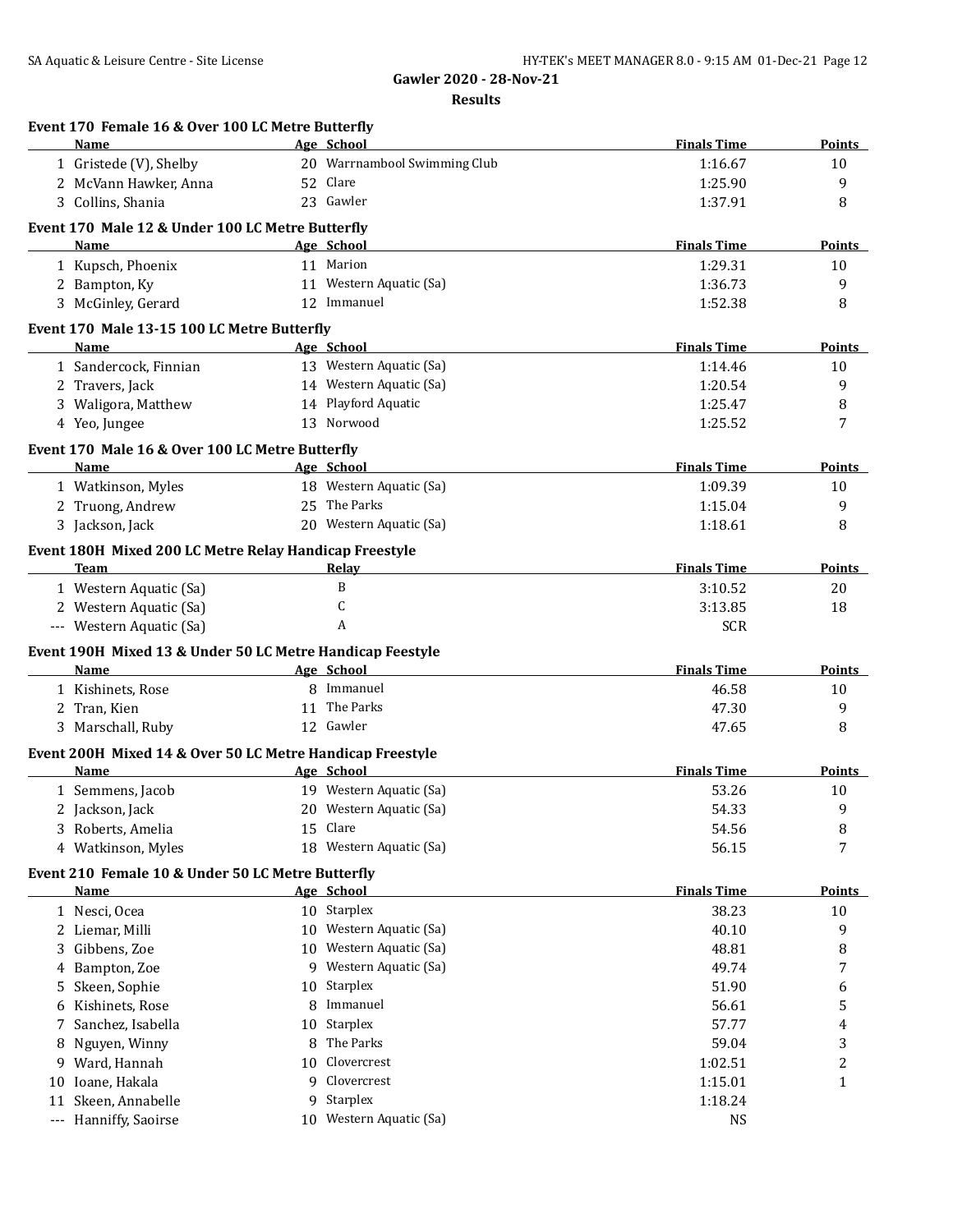|    | Event 170 Female 16 & Over 100 LC Metre Butterfly<br>Name         |    |                                            | <b>Finals Time</b> |               |
|----|-------------------------------------------------------------------|----|--------------------------------------------|--------------------|---------------|
|    |                                                                   |    | Age School<br>20 Warrnambool Swimming Club |                    | Points        |
|    | 1 Gristede (V), Shelby                                            |    | 52 Clare                                   | 1:16.67            | 10            |
|    | 2 McVann Hawker, Anna                                             |    |                                            | 1:25.90            | 9             |
|    | 3 Collins, Shania                                                 |    | 23 Gawler                                  | 1:37.91            | 8             |
|    | Event 170 Male 12 & Under 100 LC Metre Butterfly                  |    |                                            |                    |               |
|    | Name                                                              |    | Age School                                 | <b>Finals Time</b> | Points        |
|    | 1 Kupsch, Phoenix                                                 |    | 11 Marion                                  | 1:29.31            | 10            |
|    | 2 Bampton, Ky                                                     |    | 11 Western Aquatic (Sa)                    | 1:36.73            | 9             |
|    | 3 McGinley, Gerard                                                |    | 12 Immanuel                                | 1:52.38            | 8             |
|    | Event 170 Male 13-15 100 LC Metre Butterfly                       |    |                                            |                    |               |
|    | Name                                                              |    | Age School                                 | <b>Finals Time</b> | <b>Points</b> |
|    | 1 Sandercock, Finnian                                             |    | 13 Western Aquatic (Sa)                    | 1:14.46            | 10            |
|    | 2 Travers, Jack                                                   |    | 14 Western Aquatic (Sa)                    | 1:20.54            | 9             |
|    | 3 Waligora, Matthew                                               |    | 14 Playford Aquatic                        | 1:25.47            | 8             |
|    | 4 Yeo, Jungee                                                     |    | 13 Norwood                                 | 1:25.52            | 7             |
|    | Event 170 Male 16 & Over 100 LC Metre Butterfly                   |    |                                            |                    |               |
|    | Name                                                              |    | Age School                                 | <b>Finals Time</b> | <b>Points</b> |
|    | 1 Watkinson, Myles                                                |    | 18 Western Aquatic (Sa)                    | 1:09.39            | 10            |
|    | 2 Truong, Andrew                                                  |    | 25 The Parks                               | 1:15.04            | 9             |
|    | 3 Jackson, Jack                                                   |    | 20 Western Aquatic (Sa)                    | 1:18.61            | 8             |
|    | Event 180H Mixed 200 LC Metre Relay Handicap Freestyle            |    |                                            |                    |               |
|    | Team                                                              |    | Relay                                      | <b>Finals Time</b> | Points        |
|    | 1 Western Aquatic (Sa)                                            |    | B                                          | 3:10.52            | 20            |
|    | 2 Western Aquatic (Sa)                                            |    | C                                          | 3:13.85            | 18            |
|    | --- Western Aquatic (Sa)                                          |    | A                                          | <b>SCR</b>         |               |
|    |                                                                   |    |                                            |                    |               |
|    | Event 190H Mixed 13 & Under 50 LC Metre Handicap Feestyle<br>Name |    | Age School                                 | <b>Finals Time</b> | <b>Points</b> |
|    | 1 Kishinets, Rose                                                 |    | 8 Immanuel                                 | 46.58              | 10            |
|    | 2 Tran, Kien                                                      |    | 11 The Parks                               | 47.30              | 9             |
|    | 3 Marschall, Ruby                                                 |    | 12 Gawler                                  | 47.65              | 8             |
|    |                                                                   |    |                                            |                    |               |
|    | Event 200H Mixed 14 & Over 50 LC Metre Handicap Freestyle         |    |                                            | <b>Finals Time</b> |               |
|    | <b>Name</b><br>1 Semmens, Jacob                                   |    | Age School<br>19 Western Aquatic (Sa)      |                    | <b>Points</b> |
|    |                                                                   |    |                                            | 53.26              | 10            |
|    | 2 Jackson, Jack                                                   |    | 20 Western Aquatic (Sa)                    | 54.33              | 9             |
|    | 3 Roberts, Amelia                                                 |    | 15 Clare                                   | 54.56              | 8             |
|    | 4 Watkinson, Myles                                                |    | 18 Western Aquatic (Sa)                    | 56.15              | 7             |
|    | Event 210 Female 10 & Under 50 LC Metre Butterfly                 |    |                                            |                    |               |
|    | <u>Name</u>                                                       |    | Age School                                 | <b>Finals Time</b> | <b>Points</b> |
|    | 1 Nesci, Ocea                                                     |    | 10 Starplex                                | 38.23              | 10            |
|    | 2 Liemar, Milli                                                   | 10 | Western Aquatic (Sa)                       | 40.10              | 9             |
| 3  | Gibbens, Zoe                                                      | 10 | Western Aquatic (Sa)                       | 48.81              | 8             |
|    | 4 Bampton, Zoe                                                    | 9  | Western Aquatic (Sa)                       | 49.74              | 7             |
| 5  | Skeen, Sophie                                                     | 10 | Starplex                                   | 51.90              | 6             |
| 6  | Kishinets, Rose                                                   | 8  | Immanuel                                   | 56.61              | 5             |
| 7  | Sanchez, Isabella                                                 | 10 | Starplex                                   | 57.77              | 4             |
|    | 8 Nguyen, Winny                                                   | 8  | The Parks                                  | 59.04              | 3             |
|    | 9 Ward, Hannah                                                    | 10 | Clovercrest                                | 1:02.51            | 2             |
| 10 | Ioane, Hakala                                                     | 9  | Clovercrest                                | 1:15.01            | 1             |
| 11 | Skeen, Annabelle                                                  | 9  | Starplex                                   | 1:18.24            |               |
|    | --- Hanniffy, Saoirse                                             | 10 | Western Aquatic (Sa)                       | NS                 |               |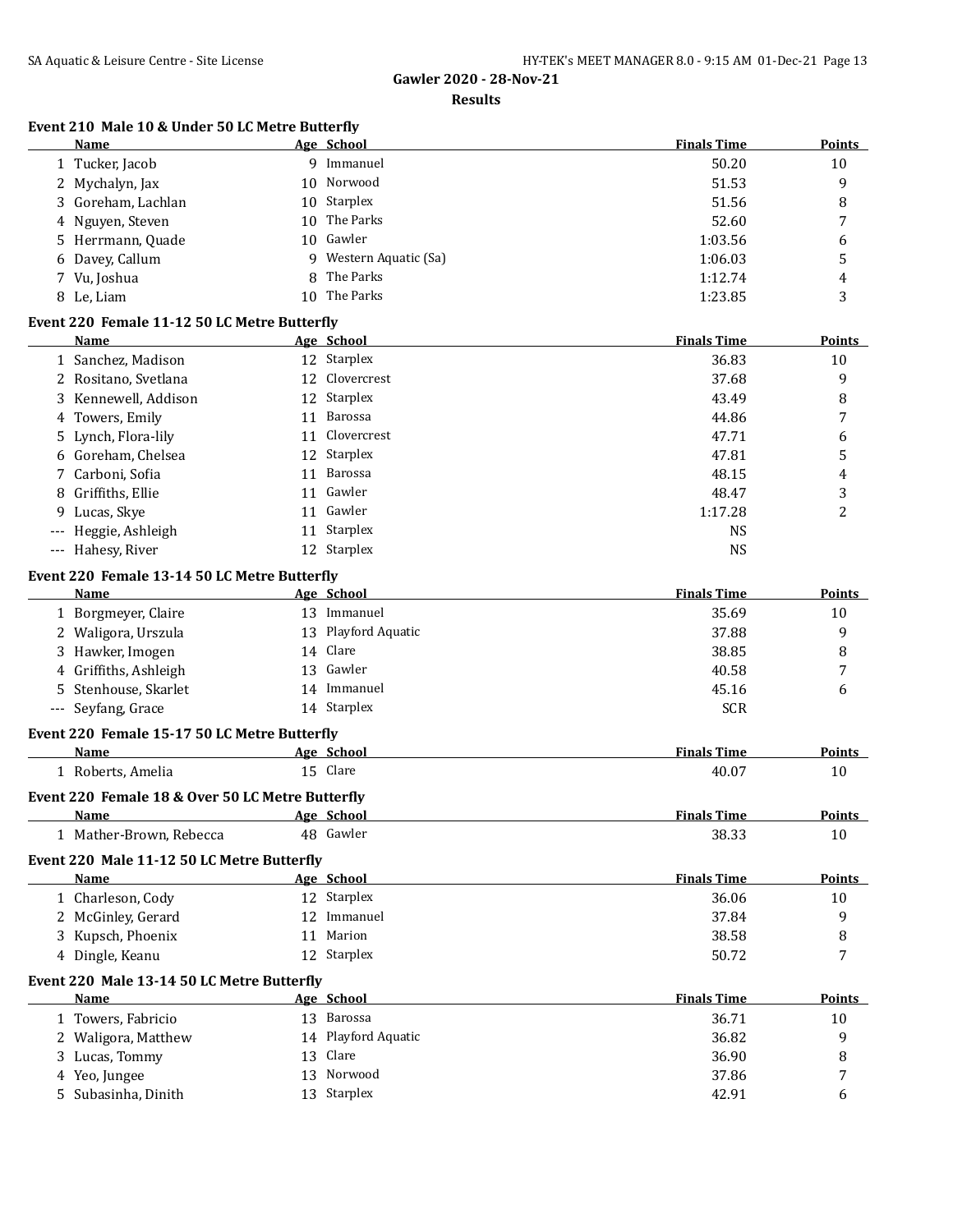### **Results**

## **Event 210 Male 10 & Under 50 LC Metre Butterfly**

|     | Name                                             |    | Age School              | <b>Finals Time</b> | <b>Points</b> |
|-----|--------------------------------------------------|----|-------------------------|--------------------|---------------|
|     | 1 Tucker, Jacob                                  |    | 9 Immanuel              | 50.20              | 10            |
|     | 2 Mychalyn, Jax                                  | 10 | Norwood                 | 51.53              | 9             |
|     | Goreham, Lachlan                                 | 10 | Starplex                | 51.56              | 8             |
|     | Nguyen, Steven                                   | 10 | The Parks               | 52.60              | 7             |
|     | 5 Herrmann, Quade                                | 10 | Gawler                  | 1:03.56            | 6             |
|     | 6 Davey, Callum                                  | 9  | Western Aquatic (Sa)    | 1:06.03            | 5             |
|     | 7 Vu, Joshua                                     | 8  | The Parks               | 1:12.74            | 4             |
|     | 8 Le, Liam                                       | 10 | The Parks               | 1:23.85            | 3             |
|     | Event 220 Female 11-12 50 LC Metre Butterfly     |    |                         |                    |               |
|     | Name                                             |    | Age School              | <b>Finals Time</b> | <b>Points</b> |
|     | 1 Sanchez, Madison                               |    | 12 Starplex             | 36.83              | 10            |
|     | 2 Rositano, Svetlana                             |    | 12 Clovercrest          | 37.68              | 9             |
| 3   | Kennewell, Addison                               |    | 12 Starplex             | 43.49              | 8             |
|     | Towers, Emily                                    | 11 | Barossa                 | 44.86              | 7             |
| 4   | 5 Lynch, Flora-lily                              |    | 11 Clovercrest          | 47.71              |               |
|     | 6 Goreham, Chelsea                               |    | 12 Starplex             |                    | 6             |
|     | 7 Carboni, Sofia                                 |    | Barossa                 | 47.81              | 5             |
|     |                                                  | 11 |                         | 48.15              | 4             |
|     | 8 Griffiths, Ellie                               | 11 | Gawler                  | 48.47              | 3             |
| 9   | Lucas, Skye                                      | 11 | Gawler                  | 1:17.28            | 2             |
| --- | Heggie, Ashleigh                                 |    | 11 Starplex             | <b>NS</b>          |               |
|     | --- Hahesy, River                                |    | 12 Starplex             | <b>NS</b>          |               |
|     | Event 220 Female 13-14 50 LC Metre Butterfly     |    |                         |                    |               |
|     | Name                                             |    | Age School              | <b>Finals Time</b> | <b>Points</b> |
|     | 1 Borgmeyer, Claire                              |    | 13 Immanuel             | 35.69              | 10            |
|     | 2 Waligora, Urszula                              |    | 13 Playford Aquatic     | 37.88              | 9             |
|     | 3 Hawker, Imogen                                 |    | 14 Clare                | 38.85              | 8             |
|     | 4 Griffiths, Ashleigh                            |    | 13 Gawler               | 40.58              | 7             |
|     | 5 Stenhouse, Skarlet                             |    | 14 Immanuel             | 45.16              | 6             |
|     | --- Seyfang, Grace                               |    | 14 Starplex             | <b>SCR</b>         |               |
|     | Event 220 Female 15-17 50 LC Metre Butterfly     |    |                         |                    |               |
|     | Name                                             |    | Age School              | <b>Finals Time</b> | Points        |
|     | 1 Roberts, Amelia                                |    | 15 Clare                | 40.07              | 10            |
|     |                                                  |    |                         |                    |               |
|     | Event 220 Female 18 & Over 50 LC Metre Butterfly |    |                         | <b>Finals Time</b> | <b>Points</b> |
|     | Name<br>1 Mather-Brown, Rebecca                  |    | Age School<br>48 Gawler | 38.33              | $10\,$        |
|     |                                                  |    |                         |                    |               |
|     | Event 220 Male 11-12 50 LC Metre Butterfly       |    |                         |                    |               |
|     | Name                                             |    | Age School              | <b>Finals Time</b> | Points        |
|     | 1 Charleson, Cody                                |    | 12 Starplex             | 36.06              | 10            |
|     | 2 McGinley, Gerard                               |    | 12 Immanuel             | 37.84              | 9             |
|     | 3 Kupsch, Phoenix                                |    | 11 Marion               | 38.58              | 8             |
|     | 4 Dingle, Keanu                                  |    | 12 Starplex             | 50.72              | 7             |
|     | Event 220 Male 13-14 50 LC Metre Butterfly       |    |                         |                    |               |
|     | <b>Name</b>                                      |    | Age School              | <b>Finals Time</b> | <b>Points</b> |
|     | 1 Towers, Fabricio                               |    | 13 Barossa              | 36.71              | 10            |
|     | 2 Waligora, Matthew                              |    | 14 Playford Aquatic     | 36.82              | 9             |
|     | 3 Lucas, Tommy                                   | 13 | Clare                   | 36.90              | 8             |
|     | 4 Yeo, Jungee                                    | 13 | Norwood                 | 37.86              | 7             |
|     | 5 Subasinha, Dinith                              |    | 13 Starplex             | 42.91              | 6             |
|     |                                                  |    |                         |                    |               |